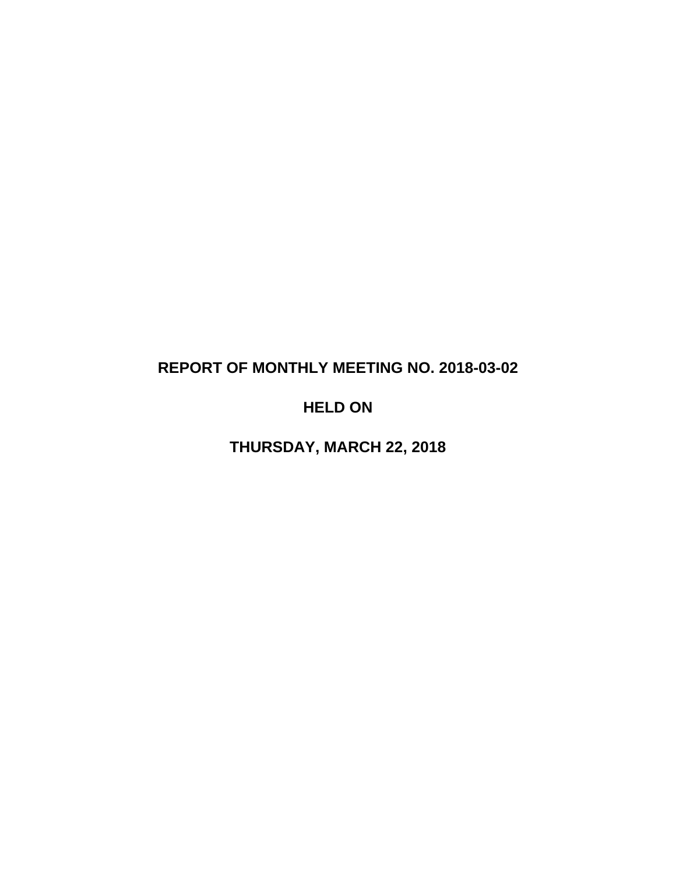# **REPORT OF MONTHLY MEETING NO. 2018-03-02**

# **HELD ON**

**THURSDAY, MARCH 22, 2018**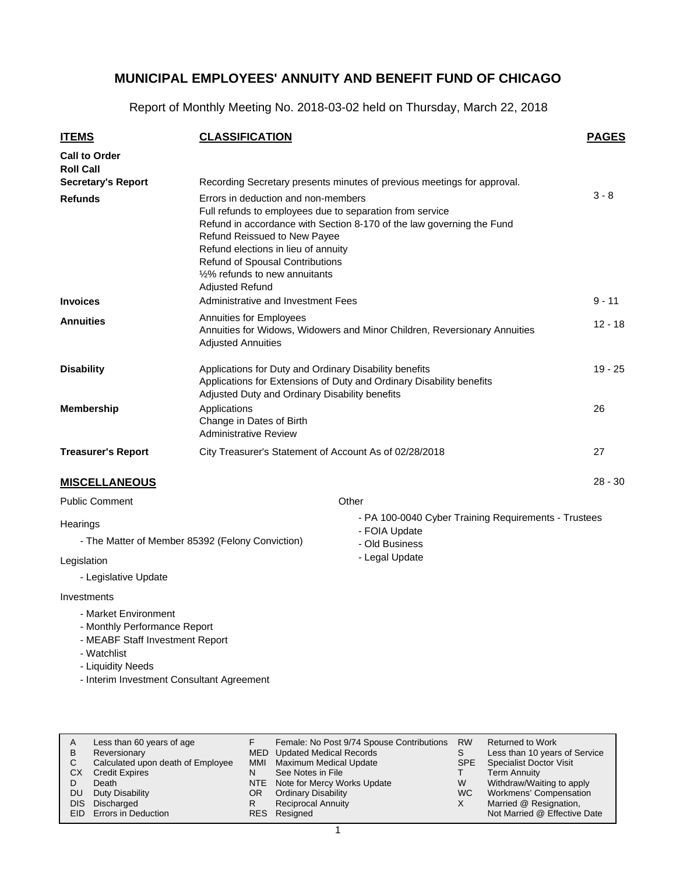Report of Monthly Meeting No. 2018-03-02 held on Thursday, March 22, 2018

| <b>ITEMS</b>                                                 | <b>CLASSIFICATION</b>                                                                                                                                                                                                                                                                                                                          |                                                                                                           | <b>PAGES</b> |  |  |  |  |
|--------------------------------------------------------------|------------------------------------------------------------------------------------------------------------------------------------------------------------------------------------------------------------------------------------------------------------------------------------------------------------------------------------------------|-----------------------------------------------------------------------------------------------------------|--------------|--|--|--|--|
| <b>Call to Order</b><br><b>Roll Call</b>                     |                                                                                                                                                                                                                                                                                                                                                |                                                                                                           |              |  |  |  |  |
| <b>Secretary's Report</b>                                    |                                                                                                                                                                                                                                                                                                                                                | Recording Secretary presents minutes of previous meetings for approval.                                   |              |  |  |  |  |
| <b>Refunds</b>                                               | Errors in deduction and non-members<br>Full refunds to employees due to separation from service<br>Refund in accordance with Section 8-170 of the law governing the Fund<br>Refund Reissued to New Payee<br>Refund elections in lieu of annuity<br>Refund of Spousal Contributions<br>1/2% refunds to new annuitants<br><b>Adjusted Refund</b> |                                                                                                           |              |  |  |  |  |
| <b>Invoices</b>                                              | Administrative and Investment Fees                                                                                                                                                                                                                                                                                                             |                                                                                                           | $9 - 11$     |  |  |  |  |
| <b>Annuities</b>                                             | Annuities for Employees<br>Annuities for Widows, Widowers and Minor Children, Reversionary Annuities<br><b>Adjusted Annuities</b>                                                                                                                                                                                                              |                                                                                                           |              |  |  |  |  |
| <b>Disability</b>                                            | Applications for Duty and Ordinary Disability benefits<br>Applications for Extensions of Duty and Ordinary Disability benefits<br>Adjusted Duty and Ordinary Disability benefits                                                                                                                                                               |                                                                                                           |              |  |  |  |  |
| <b>Membership</b>                                            | Applications<br>Change in Dates of Birth<br><b>Administrative Review</b>                                                                                                                                                                                                                                                                       |                                                                                                           | 26           |  |  |  |  |
| <b>Treasurer's Report</b>                                    | City Treasurer's Statement of Account As of 02/28/2018                                                                                                                                                                                                                                                                                         |                                                                                                           | 27           |  |  |  |  |
| <b>MISCELLANEOUS</b>                                         |                                                                                                                                                                                                                                                                                                                                                |                                                                                                           | $28 - 30$    |  |  |  |  |
| <b>Public Comment</b>                                        |                                                                                                                                                                                                                                                                                                                                                | Other                                                                                                     |              |  |  |  |  |
| Hearings<br>- The Matter of Member 85392 (Felony Conviction) |                                                                                                                                                                                                                                                                                                                                                | - PA 100-0040 Cyber Training Requirements - Trustees<br>- FOIA Update<br>- Old Business<br>- Legal Update |              |  |  |  |  |
| Legislation<br>- Legislative Update                          |                                                                                                                                                                                                                                                                                                                                                |                                                                                                           |              |  |  |  |  |
| Investments                                                  |                                                                                                                                                                                                                                                                                                                                                |                                                                                                           |              |  |  |  |  |

- Market Environment
- Monthly Performance Report
- MEABF Staff Investment Report
- Watchlist
- Liquidity Needs
- Interim Investment Consultant Agreement

| A          | Less than 60 years of age         |            | Female: No Post 9/74 Spouse Contributions | <b>RW</b> | <b>Returned to Work</b>        |
|------------|-----------------------------------|------------|-------------------------------------------|-----------|--------------------------------|
| B          | Reversionary                      |            | MED Updated Medical Records               |           | Less than 10 years of Service  |
| С          | Calculated upon death of Employee | MMI        | <b>Maximum Medical Update</b>             | SPE.      | <b>Specialist Doctor Visit</b> |
| СX         | <b>Credit Expires</b>             | N          | See Notes in File                         |           | <b>Term Annuity</b>            |
|            | Death                             | <b>NTE</b> | Note for Mercy Works Update               | W         | Withdraw/Waiting to apply      |
| <b>DU</b>  | Duty Disability                   | OR.        | <b>Ordinary Disability</b>                | <b>WC</b> | Workmens' Compensation         |
| <b>DIS</b> | Discharged                        | R          | <b>Reciprocal Annuity</b>                 | х         | Married @ Resignation,         |
|            | <b>EID</b> Errors in Deduction    |            | RES Resigned                              |           | Not Married @ Effective Date   |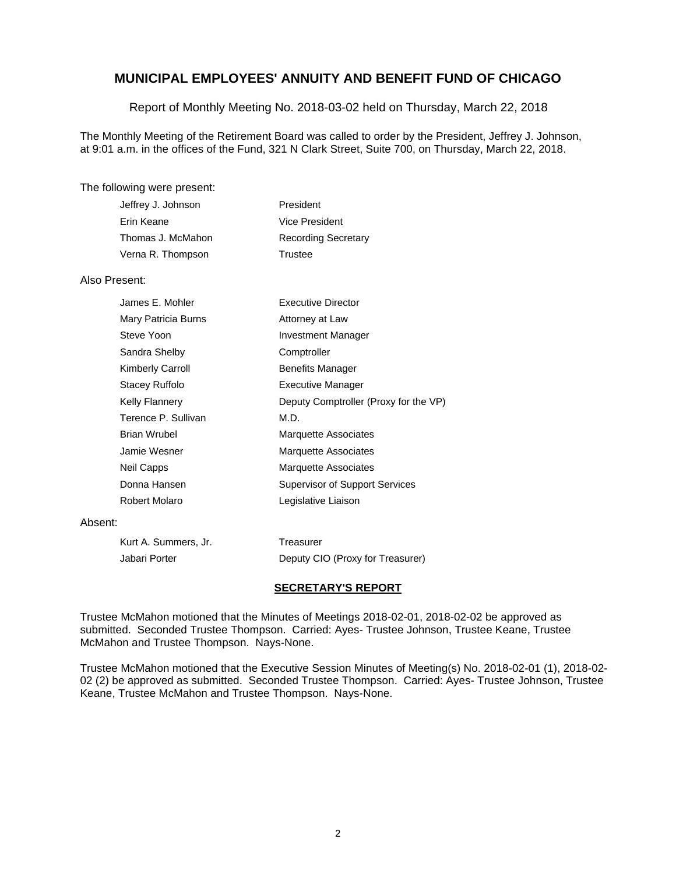Report of Monthly Meeting No. 2018-03-02 held on Thursday, March 22, 2018

The Monthly Meeting of the Retirement Board was called to order by the President, Jeffrey J. Johnson, at 9:01 a.m. in the offices of the Fund, 321 N Clark Street, Suite 700, on Thursday, March 22, 2018.

#### The following were present:

| Jeffrey J. Johnson | President                  |
|--------------------|----------------------------|
| Erin Keane         | Vice President             |
| Thomas J. McMahon  | <b>Recording Secretary</b> |
| Verna R. Thompson  | Trustee                    |

#### Also Present:

| James E. Mohler         | Executive Director                    |
|-------------------------|---------------------------------------|
| Mary Patricia Burns     | Attorney at Law                       |
| Steve Yoon              | <b>Investment Manager</b>             |
| Sandra Shelby           | Comptroller                           |
| <b>Kimberly Carroll</b> | <b>Benefits Manager</b>               |
| Stacey Ruffolo          | <b>Executive Manager</b>              |
| <b>Kelly Flannery</b>   | Deputy Comptroller (Proxy for the VP) |
| Terence P. Sullivan     | M.D.                                  |
| Brian Wrubel            | <b>Marquette Associates</b>           |
| Jamie Wesner            | <b>Marquette Associates</b>           |
| Neil Capps              | <b>Marquette Associates</b>           |
| Donna Hansen            | <b>Supervisor of Support Services</b> |
| Robert Molaro           | Legislative Liaison                   |

#### Absent:

| Kurt A. Summers, Jr. | Treasurer                        |
|----------------------|----------------------------------|
| Jabari Porter        | Deputy CIO (Proxy for Treasurer) |

#### **SECRETARY'S REPORT**

Trustee McMahon motioned that the Minutes of Meetings 2018-02-01, 2018-02-02 be approved as submitted. Seconded Trustee Thompson. Carried: Ayes- Trustee Johnson, Trustee Keane, Trustee McMahon and Trustee Thompson. Nays-None.

Trustee McMahon motioned that the Executive Session Minutes of Meeting(s) No. 2018-02-01 (1), 2018-02- 02 (2) be approved as submitted. Seconded Trustee Thompson. Carried: Ayes- Trustee Johnson, Trustee Keane, Trustee McMahon and Trustee Thompson. Nays-None.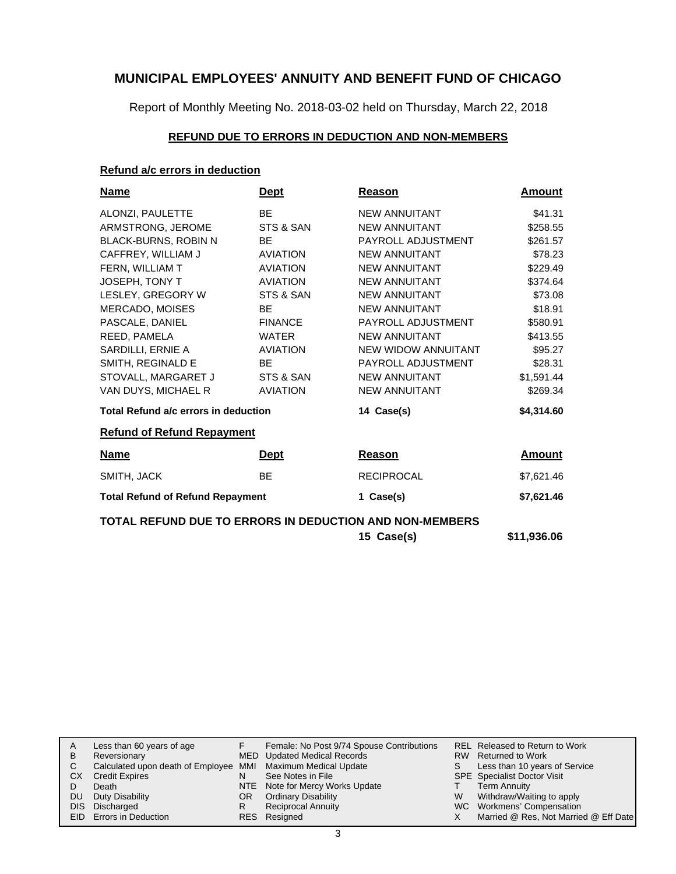Report of Monthly Meeting No. 2018-03-02 held on Thursday, March 22, 2018

## **REFUND DUE TO ERRORS IN DEDUCTION AND NON-MEMBERS**

## **Refund a/c errors in deduction**

| <u>Name</u>                                             | <u>Dept</u>     | Reason               | Amount     |
|---------------------------------------------------------|-----------------|----------------------|------------|
| ALONZI, PAULETTE                                        | <b>BE</b>       | <b>NEW ANNUITANT</b> | \$41.31    |
| ARMSTRONG, JEROME                                       | STS & SAN       | <b>NEW ANNUITANT</b> | \$258.55   |
| BLACK-BURNS, ROBIN N                                    | <b>BE</b>       | PAYROLL ADJUSTMENT   | \$261.57   |
| CAFFREY, WILLIAM J                                      | <b>AVIATION</b> | <b>NEW ANNUITANT</b> | \$78.23    |
| FERN, WILLIAM T                                         | <b>AVIATION</b> | <b>NEW ANNUITANT</b> | \$229.49   |
| JOSEPH, TONY T                                          | <b>AVIATION</b> | <b>NEW ANNUITANT</b> | \$374.64   |
| LESLEY, GREGORY W                                       | STS & SAN       | <b>NEW ANNUITANT</b> | \$73.08    |
| MERCADO, MOISES                                         | <b>BE</b>       | <b>NEW ANNUITANT</b> | \$18.91    |
| PASCALE, DANIEL                                         | <b>FINANCE</b>  | PAYROLL ADJUSTMENT   | \$580.91   |
| REED, PAMELA                                            | <b>WATER</b>    | <b>NEW ANNUITANT</b> | \$413.55   |
| SARDILLI, ERNIE A                                       | <b>AVIATION</b> | NEW WIDOW ANNUITANT  | \$95.27    |
| SMITH, REGINALD E                                       | <b>BE</b>       | PAYROLL ADJUSTMENT   | \$28.31    |
| STOVALL, MARGARET J                                     | STS & SAN       | NEW ANNUITANT        | \$1,591.44 |
| VAN DUYS, MICHAEL R                                     | <b>AVIATION</b> | NEW ANNUITANT        | \$269.34   |
| Total Refund a/c errors in deduction                    |                 | 14 Case(s)           | \$4,314.60 |
| <b>Refund of Refund Repayment</b>                       |                 |                      |            |
| <b>Name</b>                                             | <u>Dept</u>     | Reason               | Amount     |
| SMITH, JACK                                             | <b>BE</b>       | <b>RECIPROCAL</b>    | \$7,621.46 |
| <b>Total Refund of Refund Repayment</b>                 |                 | 1 Case(s)            | \$7,621.46 |
| TOTAL REFUND DUE TO ERRORS IN DEDUCTION AND NON-MEMBERS |                 |                      |            |

| 15 Case(s) | \$11,936.06 |  |
|------------|-------------|--|
|            |             |  |

| A    | Less than 60 years of age                                    |    | Female: No Post 9/74 Spouse Contributions |   | REL Released to Return to Work        |
|------|--------------------------------------------------------------|----|-------------------------------------------|---|---------------------------------------|
| B    | Reversionary                                                 |    | MED Updated Medical Records               |   | RW Returned to Work                   |
|      | Calculated upon death of Employee MMI Maximum Medical Update |    |                                           |   | Less than 10 years of Service         |
| CХ   | <b>Credit Expires</b>                                        | N  | See Notes in File                         |   | <b>SPE</b> Specialist Doctor Visit    |
|      | Death                                                        |    | NTE Note for Mercy Works Update           |   | <b>Term Annuity</b>                   |
| DU   | Duty Disability                                              | OR | <b>Ordinary Disability</b>                | W | Withdraw/Waiting to apply             |
| DIS. | Discharged                                                   | R  | <b>Reciprocal Annuity</b>                 |   | WC Workmens' Compensation             |
|      | <b>EID</b> Errors in Deduction                               |    | RES Resigned                              |   | Married @ Res, Not Married @ Eff Date |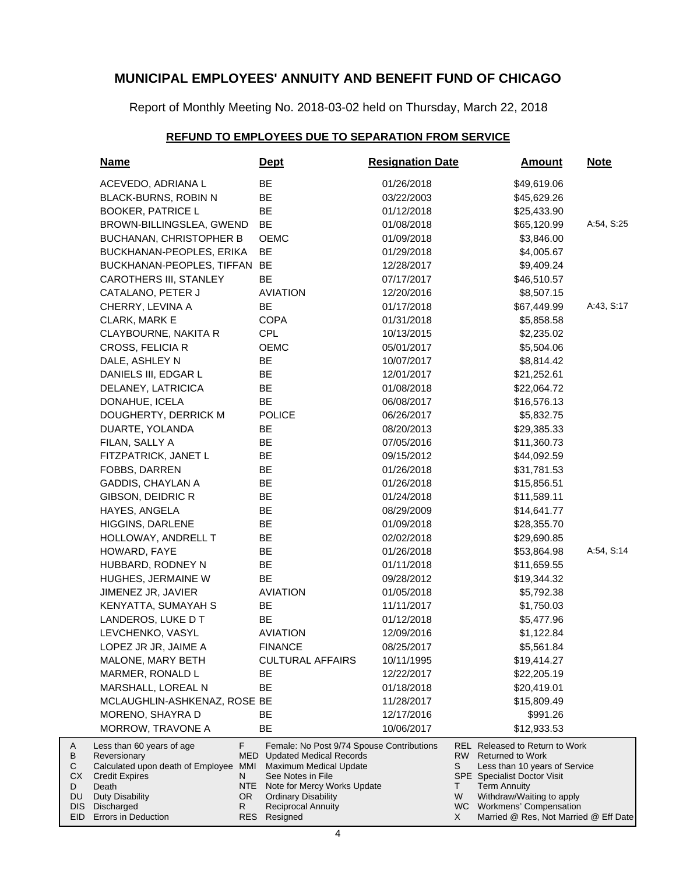Report of Monthly Meeting No. 2018-03-02 held on Thursday, March 22, 2018

## **REFUND TO EMPLOYEES DUE TO SEPARATION FROM SERVICE**

| <b>Name</b>                                                                                               |                       | <u>Dept</u>                                                                                                                                                          | <b>Resignation Date</b> |               | <b>Amount</b>                                                                                                                                           | <u>Note</u> |
|-----------------------------------------------------------------------------------------------------------|-----------------------|----------------------------------------------------------------------------------------------------------------------------------------------------------------------|-------------------------|---------------|---------------------------------------------------------------------------------------------------------------------------------------------------------|-------------|
| ACEVEDO, ADRIANA L                                                                                        |                       | ВE                                                                                                                                                                   | 01/26/2018              |               | \$49,619.06                                                                                                                                             |             |
| BLACK-BURNS, ROBIN N                                                                                      |                       | BE                                                                                                                                                                   | 03/22/2003              |               | \$45,629.26                                                                                                                                             |             |
| <b>BOOKER, PATRICE L</b>                                                                                  |                       | BE                                                                                                                                                                   | 01/12/2018              |               | \$25,433.90                                                                                                                                             |             |
| BROWN-BILLINGSLEA, GWEND                                                                                  |                       | <b>BE</b>                                                                                                                                                            | 01/08/2018              |               | \$65,120.99                                                                                                                                             | A:54, S:25  |
| <b>BUCHANAN, CHRISTOPHER B</b>                                                                            |                       | <b>OEMC</b>                                                                                                                                                          | 01/09/2018              |               | \$3,846.00                                                                                                                                              |             |
| BUCKHANAN-PEOPLES, ERIKA                                                                                  |                       | BE                                                                                                                                                                   | 01/29/2018              |               | \$4,005.67                                                                                                                                              |             |
| BUCKHANAN-PEOPLES, TIFFAN                                                                                 |                       | <b>BE</b>                                                                                                                                                            | 12/28/2017              |               | \$9,409.24                                                                                                                                              |             |
| <b>CAROTHERS III, STANLEY</b>                                                                             |                       | BE                                                                                                                                                                   | 07/17/2017              |               | \$46,510.57                                                                                                                                             |             |
| CATALANO, PETER J                                                                                         |                       | <b>AVIATION</b>                                                                                                                                                      | 12/20/2016              |               | \$8,507.15                                                                                                                                              |             |
| CHERRY, LEVINA A                                                                                          |                       | <b>BE</b>                                                                                                                                                            | 01/17/2018              |               | \$67,449.99                                                                                                                                             | A:43, S:17  |
| CLARK, MARK E                                                                                             |                       | <b>COPA</b>                                                                                                                                                          | 01/31/2018              |               | \$5,858.58                                                                                                                                              |             |
| CLAYBOURNE, NAKITA R                                                                                      |                       | <b>CPL</b>                                                                                                                                                           | 10/13/2015              |               | \$2,235.02                                                                                                                                              |             |
| CROSS, FELICIA R                                                                                          |                       | OEMC                                                                                                                                                                 | 05/01/2017              |               | \$5,504.06                                                                                                                                              |             |
| DALE, ASHLEY N                                                                                            |                       | <b>BE</b>                                                                                                                                                            | 10/07/2017              |               | \$8,814.42                                                                                                                                              |             |
| DANIELS III, EDGAR L                                                                                      |                       | BE                                                                                                                                                                   | 12/01/2017              |               | \$21,252.61                                                                                                                                             |             |
| DELANEY, LATRICICA                                                                                        |                       | BE                                                                                                                                                                   | 01/08/2018              |               | \$22,064.72                                                                                                                                             |             |
| DONAHUE, ICELA                                                                                            |                       | <b>BE</b>                                                                                                                                                            | 06/08/2017              |               | \$16,576.13                                                                                                                                             |             |
| DOUGHERTY, DERRICK M                                                                                      |                       | <b>POLICE</b>                                                                                                                                                        | 06/26/2017              |               | \$5,832.75                                                                                                                                              |             |
| DUARTE, YOLANDA                                                                                           |                       | BE                                                                                                                                                                   | 08/20/2013              |               | \$29,385.33                                                                                                                                             |             |
| FILAN, SALLY A                                                                                            |                       | BE                                                                                                                                                                   | 07/05/2016              |               | \$11,360.73                                                                                                                                             |             |
| FITZPATRICK, JANET L                                                                                      |                       | BE                                                                                                                                                                   | 09/15/2012              |               | \$44,092.59                                                                                                                                             |             |
| FOBBS, DARREN                                                                                             |                       | BE                                                                                                                                                                   | 01/26/2018              |               | \$31,781.53                                                                                                                                             |             |
| GADDIS, CHAYLAN A                                                                                         |                       | <b>BE</b>                                                                                                                                                            | 01/26/2018              |               | \$15,856.51                                                                                                                                             |             |
| GIBSON, DEIDRIC R                                                                                         |                       | BE                                                                                                                                                                   | 01/24/2018              |               | \$11,589.11                                                                                                                                             |             |
| HAYES, ANGELA                                                                                             |                       | BE                                                                                                                                                                   | 08/29/2009              |               | \$14,641.77                                                                                                                                             |             |
| HIGGINS, DARLENE                                                                                          |                       | BE                                                                                                                                                                   | 01/09/2018              |               | \$28,355.70                                                                                                                                             |             |
| HOLLOWAY, ANDRELL T                                                                                       |                       | BE                                                                                                                                                                   | 02/02/2018              |               | \$29,690.85                                                                                                                                             |             |
| HOWARD, FAYE                                                                                              |                       | <b>BE</b>                                                                                                                                                            | 01/26/2018              |               | \$53,864.98                                                                                                                                             | A:54, S:14  |
| HUBBARD, RODNEY N                                                                                         |                       | <b>BE</b>                                                                                                                                                            | 01/11/2018              |               | \$11,659.55                                                                                                                                             |             |
| HUGHES, JERMAINE W                                                                                        |                       | <b>BE</b>                                                                                                                                                            | 09/28/2012              |               | \$19,344.32                                                                                                                                             |             |
| JIMENEZ JR, JAVIER                                                                                        |                       | <b>AVIATION</b>                                                                                                                                                      | 01/05/2018              |               | \$5,792.38                                                                                                                                              |             |
| KENYATTA, SUMAYAH S                                                                                       |                       | BE                                                                                                                                                                   | 11/11/2017              |               | \$1,750.03                                                                                                                                              |             |
| LANDEROS, LUKE D T                                                                                        |                       | BE                                                                                                                                                                   | 01/12/2018              |               | \$5,477.96                                                                                                                                              |             |
| LEVCHENKO, VASYL                                                                                          |                       | <b>AVIATION</b>                                                                                                                                                      | 12/09/2016              |               | \$1,122.84                                                                                                                                              |             |
| LOPEZ JR JR. JAIME A                                                                                      |                       | <b>FINANCE</b>                                                                                                                                                       | 08/25/2017              |               | \$5,561.84                                                                                                                                              |             |
| MALONE, MARY BETH                                                                                         |                       | <b>CULTURAL AFFAIRS</b>                                                                                                                                              | 10/11/1995              |               | \$19,414.27                                                                                                                                             |             |
| MARMER, RONALD L                                                                                          |                       | BЕ                                                                                                                                                                   | 12/22/2017              |               | \$22,205.19                                                                                                                                             |             |
| MARSHALL, LOREAL N                                                                                        |                       | BE                                                                                                                                                                   | 01/18/2018              |               | \$20,419.01                                                                                                                                             |             |
| MCLAUGHLIN-ASHKENAZ, ROSE BE                                                                              |                       |                                                                                                                                                                      | 11/28/2017              |               | \$15,809.49                                                                                                                                             |             |
| MORENO, SHAYRA D                                                                                          |                       | BЕ                                                                                                                                                                   | 12/17/2016              |               | \$991.26                                                                                                                                                |             |
| MORROW, TRAVONE A                                                                                         |                       | BE                                                                                                                                                                   | 10/06/2017              |               | \$12,933.53                                                                                                                                             |             |
| Less than 60 years of age<br>Reversionary<br>Calculated upon death of Employee<br>Credit Expires<br>Death | F.<br>MMI<br>N<br>NTE | Female: No Post 9/74 Spouse Contributions<br><b>MED</b> Updated Medical Records<br><b>Maximum Medical Update</b><br>See Notes in File<br>Note for Mercy Works Update |                         | RW<br>S<br>T. | REL Released to Return to Work<br><b>Returned to Work</b><br>Less than 10 years of Service<br><b>SPE</b> Specialist Doctor Visit<br><b>Term Annuity</b> |             |
| <b>Duty Disability</b><br>Discharged                                                                      | OR.<br>R.             | <b>Ordinary Disability</b><br><b>Reciprocal Annuity</b>                                                                                                              |                         | W             | Withdraw/Waiting to apply<br>WC Workmens' Compensation                                                                                                  |             |
| Errors in Deduction                                                                                       |                       | RES Resigned                                                                                                                                                         |                         | X             | Married @ Res, Not Married @ Eff Date                                                                                                                   |             |

A B C CX D DU DIS EID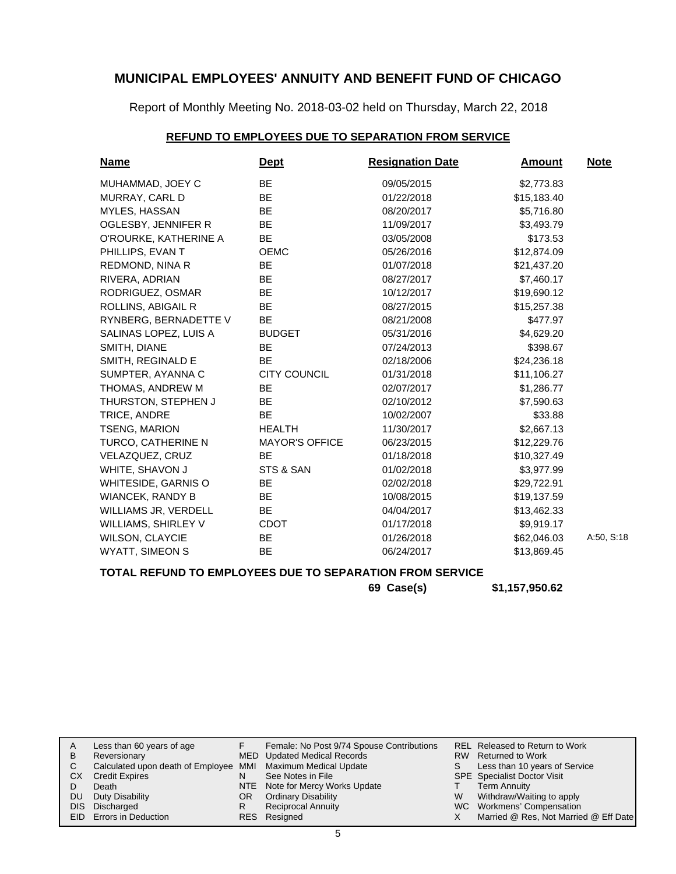Report of Monthly Meeting No. 2018-03-02 held on Thursday, March 22, 2018

#### **REFUND TO EMPLOYEES DUE TO SEPARATION FROM SERVICE**

| <b>Name</b>             | <b>Dept</b>           | <b>Resignation Date</b> | <b>Amount</b> | <b>Note</b> |
|-------------------------|-----------------------|-------------------------|---------------|-------------|
| MUHAMMAD, JOEY C        | <b>BE</b>             | 09/05/2015              | \$2,773.83    |             |
| MURRAY, CARL D          | <b>BE</b>             | 01/22/2018              | \$15,183.40   |             |
| MYLES, HASSAN           | <b>BE</b>             | 08/20/2017              | \$5,716.80    |             |
| OGLESBY, JENNIFER R     | <b>BE</b>             | 11/09/2017              | \$3,493.79    |             |
| O'ROURKE, KATHERINE A   | BE                    | 03/05/2008              | \$173.53      |             |
| PHILLIPS, EVAN T        | <b>OEMC</b>           | 05/26/2016              | \$12,874.09   |             |
| REDMOND, NINA R         | BE                    | 01/07/2018              | \$21,437.20   |             |
| RIVERA, ADRIAN          | BE                    | 08/27/2017              | \$7,460.17    |             |
| RODRIGUEZ, OSMAR        | <b>BE</b>             | 10/12/2017              | \$19,690.12   |             |
| ROLLINS, ABIGAIL R      | <b>BE</b>             | 08/27/2015              | \$15,257.38   |             |
| RYNBERG, BERNADETTE V   | BE.                   | 08/21/2008              | \$477.97      |             |
| SALINAS LOPEZ, LUIS A   | <b>BUDGET</b>         | 05/31/2016              | \$4,629.20    |             |
| SMITH, DIANE            | BE                    | 07/24/2013              | \$398.67      |             |
| SMITH, REGINALD E       | <b>BE</b>             | 02/18/2006              | \$24,236.18   |             |
| SUMPTER, AYANNA C       | <b>CITY COUNCIL</b>   | 01/31/2018              | \$11,106.27   |             |
| THOMAS, ANDREW M        | BE.                   | 02/07/2017              | \$1,286.77    |             |
| THURSTON, STEPHEN J     | BE                    | 02/10/2012              | \$7,590.63    |             |
| TRICE, ANDRE            | <b>BE</b>             | 10/02/2007              | \$33.88       |             |
| <b>TSENG, MARION</b>    | <b>HEALTH</b>         | 11/30/2017              | \$2,667.13    |             |
| TURCO, CATHERINE N      | <b>MAYOR'S OFFICE</b> | 06/23/2015              | \$12,229.76   |             |
| VELAZQUEZ, CRUZ         | <b>BE</b>             | 01/18/2018              | \$10,327.49   |             |
| WHITE, SHAVON J         | STS & SAN             | 01/02/2018              | \$3,977.99    |             |
| WHITESIDE, GARNIS O     | <b>BE</b>             | 02/02/2018              | \$29,722.91   |             |
| <b>WIANCEK, RANDY B</b> | BE.                   | 10/08/2015              | \$19,137.59   |             |
| WILLIAMS JR, VERDELL    | <b>BE</b>             | 04/04/2017              | \$13,462.33   |             |
| WILLIAMS, SHIRLEY V     | <b>CDOT</b>           | 01/17/2018              | \$9,919.17    |             |
| <b>WILSON, CLAYCIE</b>  | <b>BE</b>             | 01/26/2018              | \$62,046.03   | A:50, S:18  |
| <b>WYATT, SIMEON S</b>  | BE                    | 06/24/2017              | \$13,869.45   |             |

## **TOTAL REFUND TO EMPLOYEES DUE TO SEPARATION FROM SERVICE**

**69 Case(s) \$1,157,950.62**

|           | Less than 60 years of age                                    |     | Female: No Post 9/74 Spouse Contributions |   | REL Released to Return to Work        |
|-----------|--------------------------------------------------------------|-----|-------------------------------------------|---|---------------------------------------|
| B         | Reversionary                                                 |     | MED Updated Medical Records               |   | RW Returned to Work                   |
|           | Calculated upon death of Employee MMI Maximum Medical Update |     |                                           |   | Less than 10 years of Service         |
| <b>CX</b> | <b>Credit Expires</b>                                        |     | See Notes in File                         |   | SPE Specialist Doctor Visit           |
|           | Death                                                        |     | NTE Note for Mercy Works Update           |   | <b>Term Annuity</b>                   |
| <b>DU</b> | Duty Disability                                              | OR. | <b>Ordinary Disability</b>                | W | Withdraw/Waiting to apply             |
|           | DIS Discharged                                               |     | <b>Reciprocal Annuity</b>                 |   | WC Workmens' Compensation             |
|           | <b>EID</b> Errors in Deduction                               |     | RES Resigned                              |   | Married @ Res, Not Married @ Eff Date |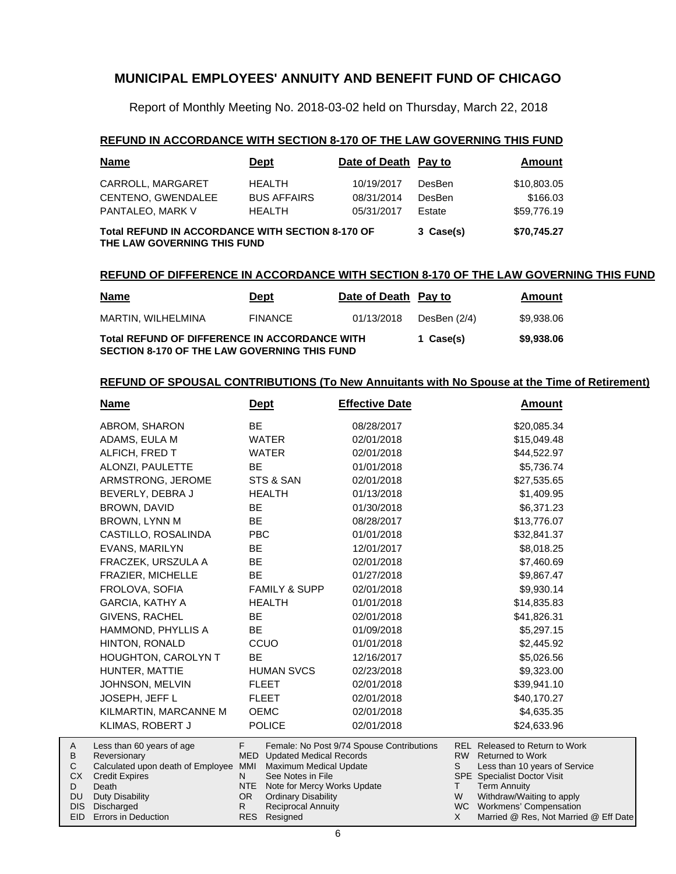Report of Monthly Meeting No. 2018-03-02 held on Thursday, March 22, 2018

#### **REFUND IN ACCORDANCE WITH SECTION 8-170 OF THE LAW GOVERNING THIS FUND**

| <b>Name</b>                                                                            | <b>Dept</b>        | Date of Death Pay to |               | Amount      |
|----------------------------------------------------------------------------------------|--------------------|----------------------|---------------|-------------|
| CARROLL, MARGARET                                                                      | <b>HEALTH</b>      | 10/19/2017           | <b>DesBen</b> | \$10,803.05 |
| CENTENO, GWENDALEE                                                                     | <b>BUS AFFAIRS</b> | 08/31/2014           | DesBen        | \$166.03    |
| PANTALEO, MARK V                                                                       | <b>HEALTH</b>      | 05/31/2017           | Estate        | \$59,776.19 |
| <b>Total REFUND IN ACCORDANCE WITH SECTION 8-170 OF</b><br>THE LAW GOVERNING THIS FUND | 3 Case(s)          | \$70,745.27          |               |             |

#### **REFUND OF DIFFERENCE IN ACCORDANCE WITH SECTION 8-170 OF THE LAW GOVERNING THIS FUND**

| <u>Name</u>                                                                                          | <b>Dept</b>    | Date of Death Pay to |              | Amount     |
|------------------------------------------------------------------------------------------------------|----------------|----------------------|--------------|------------|
| MARTIN. WILHELMINA                                                                                   | <b>FINANCE</b> | 01/13/2018           | DesBen (2/4) | \$9.938.06 |
| Total REFUND OF DIFFERENCE IN ACCORDANCE WITH<br><b>SECTION 8-170 OF THE LAW GOVERNING THIS FUND</b> |                |                      | 1 Case(s)    | \$9,938.06 |

#### **REFUND OF SPOUSAL CONTRIBUTIONS (To New Annuitants with No Spouse at the Time of Retirement)**

|            | <b>Name</b>                       | <u>Dept</u> |                                                    | <b>Effective Date</b>                     |              | <b>Amount</b>                                                |  |
|------------|-----------------------------------|-------------|----------------------------------------------------|-------------------------------------------|--------------|--------------------------------------------------------------|--|
|            | ABROM, SHARON                     | <b>BE</b>   |                                                    | 08/28/2017                                |              | \$20,085.34                                                  |  |
|            | ADAMS, EULA M                     |             | <b>WATER</b>                                       | 02/01/2018                                |              | \$15,049.48                                                  |  |
|            | ALFICH, FRED T                    |             | <b>WATER</b>                                       | 02/01/2018                                |              | \$44,522.97                                                  |  |
|            | ALONZI, PAULETTE                  | <b>BE</b>   |                                                    | 01/01/2018                                |              | \$5,736.74                                                   |  |
|            | ARMSTRONG, JEROME                 |             | STS & SAN                                          | 02/01/2018                                |              | \$27,535.65                                                  |  |
|            | BEVERLY, DEBRA J                  |             | <b>HEALTH</b>                                      | 01/13/2018                                |              | \$1,409.95                                                   |  |
|            | BROWN, DAVID                      | <b>BE</b>   |                                                    | 01/30/2018                                |              | \$6,371.23                                                   |  |
|            | BROWN, LYNN M                     | <b>BE</b>   |                                                    | 08/28/2017                                |              | \$13,776.07                                                  |  |
|            | CASTILLO, ROSALINDA               | <b>PBC</b>  |                                                    | 01/01/2018                                |              | \$32,841.37                                                  |  |
|            | EVANS, MARILYN                    | <b>BE</b>   |                                                    | 12/01/2017                                |              | \$8,018.25                                                   |  |
|            | FRACZEK, URSZULA A                | <b>BE</b>   |                                                    | 02/01/2018                                |              | \$7,460.69                                                   |  |
|            | FRAZIER, MICHELLE                 | <b>BE</b>   |                                                    | 01/27/2018                                |              | \$9,867.47                                                   |  |
|            | FROLOVA, SOFIA                    |             | <b>FAMILY &amp; SUPP</b>                           | 02/01/2018                                |              | \$9,930.14                                                   |  |
|            | <b>GARCIA, KATHY A</b>            |             | <b>HEALTH</b>                                      | 01/01/2018                                |              | \$14,835.83                                                  |  |
|            | GIVENS, RACHEL                    | <b>BE</b>   |                                                    | 02/01/2018                                |              | \$41,826.31                                                  |  |
|            | HAMMOND, PHYLLIS A                | <b>BE</b>   |                                                    | 01/09/2018                                |              | \$5,297.15                                                   |  |
|            | HINTON, RONALD                    |             | CCUO                                               | 01/01/2018                                |              | \$2,445.92                                                   |  |
|            | HOUGHTON, CAROLYN T               | <b>BE</b>   |                                                    | 12/16/2017                                |              | \$5,026.56                                                   |  |
|            | HUNTER, MATTIE                    |             | <b>HUMAN SVCS</b>                                  | 02/23/2018                                |              | \$9,323.00                                                   |  |
|            | JOHNSON, MELVIN                   |             | <b>FLEET</b>                                       | 02/01/2018                                |              | \$39,941.10                                                  |  |
|            | JOSEPH, JEFF L                    |             | <b>FLEET</b>                                       | 02/01/2018                                |              | \$40,170.27                                                  |  |
|            | KILMARTIN, MARCANNE M             |             | <b>OEMC</b>                                        | 02/01/2018                                |              | \$4,635.35                                                   |  |
|            | KLIMAS, ROBERT J                  |             | <b>POLICE</b>                                      | 02/01/2018                                |              | \$24,633.96                                                  |  |
| A          | Less than 60 years of age         | F.          |                                                    | Female: No Post 9/74 Spouse Contributions |              | REL Released to Return to Work                               |  |
| В          | Reversionary                      | <b>MED</b>  | <b>Updated Medical Records</b>                     |                                           |              | RW Returned to Work                                          |  |
| С<br>СX    | Calculated upon death of Employee | MMI<br>N    | <b>Maximum Medical Update</b><br>See Notes in File |                                           | S.           | Less than 10 years of Service<br>SPE Specialist Doctor Visit |  |
| D          | <b>Credit Expires</b><br>Death    | <b>NTE</b>  | Note for Mercy Works Update                        |                                           | T.           | <b>Term Annuity</b>                                          |  |
| DU         | Duty Disability                   | OR.         | <b>Ordinary Disability</b>                         |                                           | W            | Withdraw/Waiting to apply                                    |  |
| <b>DIS</b> | Discharged                        | R.          | <b>Reciprocal Annuity</b>                          |                                           | <b>WC</b>    | <b>Workmens' Compensation</b>                                |  |
| <b>EID</b> | Errors in Deduction               |             | RES Resigned                                       |                                           | $\mathsf{X}$ | Married @ Res, Not Married @ Eff Date                        |  |

A B C CX D DU DIS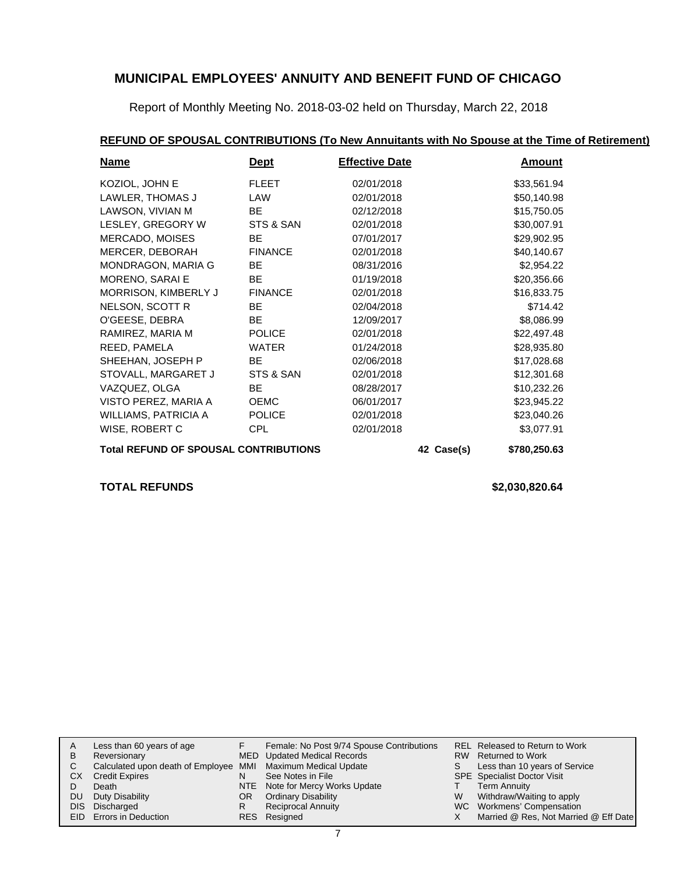Report of Monthly Meeting No. 2018-03-02 held on Thursday, March 22, 2018

## **REFUND OF SPOUSAL CONTRIBUTIONS (To New Annuitants with No Spouse at the Time of Retirement)**

| <b>Name</b>                                  | <u>Dept</u>    | <b>Effective Date</b> |            | <b>Amount</b> |
|----------------------------------------------|----------------|-----------------------|------------|---------------|
| KOZIOL, JOHN E                               | <b>FLEET</b>   | 02/01/2018            |            | \$33,561.94   |
| LAWLER, THOMAS J                             | LAW            | 02/01/2018            |            | \$50,140.98   |
| LAWSON, VIVIAN M                             | BE.            | 02/12/2018            |            | \$15,750.05   |
| LESLEY, GREGORY W                            | STS & SAN      | 02/01/2018            |            | \$30,007.91   |
| <b>MERCADO, MOISES</b>                       | <b>BE</b>      | 07/01/2017            |            | \$29,902.95   |
| MERCER, DEBORAH                              | <b>FINANCE</b> | 02/01/2018            |            | \$40,140.67   |
| MONDRAGON, MARIA G                           | BE.            | 08/31/2016            |            | \$2,954.22    |
| MORENO, SARAI E                              | <b>BE</b>      | 01/19/2018            |            | \$20,356.66   |
| MORRISON, KIMBERLY J                         | <b>FINANCE</b> | 02/01/2018            |            | \$16,833.75   |
| NELSON, SCOTT R                              | <b>BE</b>      | 02/04/2018            |            | \$714.42      |
| O'GEESE, DEBRA                               | <b>BE</b>      | 12/09/2017            |            | \$8,086.99    |
| RAMIREZ, MARIA M                             | <b>POLICE</b>  | 02/01/2018            |            | \$22,497.48   |
| REED, PAMELA                                 | <b>WATER</b>   | 01/24/2018            |            | \$28,935.80   |
| SHEEHAN, JOSEPH P                            | BE             | 02/06/2018            |            | \$17,028.68   |
| STOVALL, MARGARET J                          | STS & SAN      | 02/01/2018            |            | \$12,301.68   |
| VAZQUEZ, OLGA                                | BE.            | 08/28/2017            |            | \$10,232.26   |
| VISTO PEREZ, MARIA A                         | <b>OEMC</b>    | 06/01/2017            |            | \$23,945.22   |
| WILLIAMS, PATRICIA A                         | <b>POLICE</b>  | 02/01/2018            |            | \$23,040.26   |
| WISE, ROBERT C                               | <b>CPL</b>     | 02/01/2018            |            | \$3,077.91    |
| <b>Total REFUND OF SPOUSAL CONTRIBUTIONS</b> |                |                       | 42 Case(s) | \$780,250.63  |

## **TOTAL REFUNDS \$2,030,820.64**

|            | Less than 60 years of age                                    |     | Female: No Post 9/74 Spouse Contributions |    | REL Released to Return to Work        |
|------------|--------------------------------------------------------------|-----|-------------------------------------------|----|---------------------------------------|
| B          | Reversionary                                                 |     | MED Updated Medical Records               |    | RW Returned to Work                   |
|            | Calculated upon death of Employee MMI Maximum Medical Update |     |                                           | S. | Less than 10 years of Service         |
| CХ         | <b>Credit Expires</b>                                        | N   | See Notes in File                         |    | <b>SPE</b> Specialist Doctor Visit    |
|            | Death                                                        |     | NTE Note for Mercy Works Update           |    | <b>Term Annuity</b>                   |
| DU         | Duty Disability                                              | OR. | <b>Ordinary Disability</b>                | W  | Withdraw/Waiting to apply             |
| <b>DIS</b> | Discharged                                                   |     | <b>Reciprocal Annuity</b>                 |    | WC Workmens' Compensation             |
|            | <b>EID</b> Errors in Deduction                               |     | RES Resigned                              |    | Married @ Res, Not Married @ Eff Date |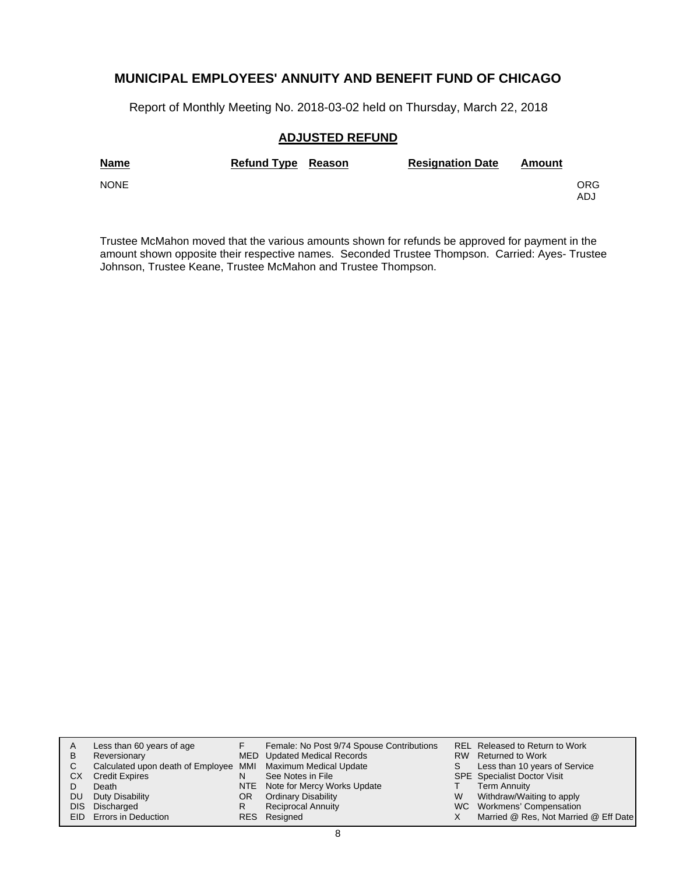Report of Monthly Meeting No. 2018-03-02 held on Thursday, March 22, 2018

## **ADJUSTED REFUND**

| <b>Name</b> | <b>Refund Type Reason</b> | <b>Resignation Date</b> | Amount |             |
|-------------|---------------------------|-------------------------|--------|-------------|
| <b>NONE</b> |                           |                         |        | ORG.<br>ADJ |

Trustee McMahon moved that the various amounts shown for refunds be approved for payment in the amount shown opposite their respective names. Seconded Trustee Thompson. Carried: Ayes- Trustee Johnson, Trustee Keane, Trustee McMahon and Trustee Thompson.

| A    | Less than 60 years of age                                    |     | Female: No Post 9/74 Spouse Contributions |   | REL Released to Return to Work        |
|------|--------------------------------------------------------------|-----|-------------------------------------------|---|---------------------------------------|
| B    | Reversionary                                                 |     | MED Updated Medical Records               |   | RW Returned to Work                   |
|      | Calculated upon death of Employee MMI Maximum Medical Update |     |                                           |   | Less than 10 years of Service         |
| CХ   | <b>Credit Expires</b>                                        | N   | See Notes in File                         |   | <b>SPE</b> Specialist Doctor Visit    |
|      | Death                                                        |     | NTE Note for Mercy Works Update           |   | <b>Term Annuity</b>                   |
| DU   | Duty Disability                                              | OR. | <b>Ordinary Disability</b>                | W | Withdraw/Waiting to apply             |
| DIS. | Discharged                                                   | R   | <b>Reciprocal Annuity</b>                 |   | WC Workmens' Compensation             |
|      | <b>EID</b> Errors in Deduction                               |     | RES Resigned                              |   | Married @ Res, Not Married @ Eff Date |
|      |                                                              |     |                                           |   |                                       |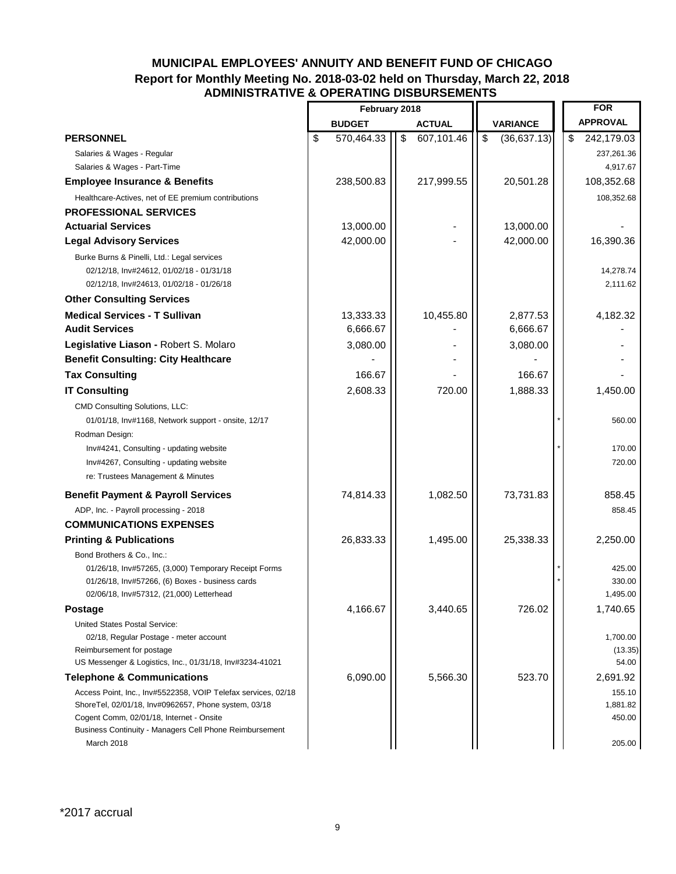## **MUNICIPAL EMPLOYEES' ANNUITY AND BENEFIT FUND OF CHICAGO Report for Monthly Meeting No. 2018-03-02 held on Thursday, March 22, 2018 ADMINISTRATIVE & OPERATING DISBURSEMENTS**

|                                                                                                                                                                                                                              | February 2018    |                  |                   | <b>FOR</b>                   |
|------------------------------------------------------------------------------------------------------------------------------------------------------------------------------------------------------------------------------|------------------|------------------|-------------------|------------------------------|
|                                                                                                                                                                                                                              | <b>BUDGET</b>    | <b>ACTUAL</b>    | <b>VARIANCE</b>   | <b>APPROVAL</b>              |
| <b>PERSONNEL</b>                                                                                                                                                                                                             | \$<br>570,464.33 | \$<br>607,101.46 | \$<br>(36,637.13) | \$<br>242,179.03             |
| Salaries & Wages - Regular                                                                                                                                                                                                   |                  |                  |                   | 237,261.36                   |
| Salaries & Wages - Part-Time                                                                                                                                                                                                 |                  |                  |                   | 4,917.67                     |
| <b>Employee Insurance &amp; Benefits</b>                                                                                                                                                                                     | 238,500.83       | 217,999.55       | 20,501.28         | 108,352.68                   |
| Healthcare-Actives, net of EE premium contributions                                                                                                                                                                          |                  |                  |                   | 108,352.68                   |
| <b>PROFESSIONAL SERVICES</b>                                                                                                                                                                                                 |                  |                  |                   |                              |
| <b>Actuarial Services</b>                                                                                                                                                                                                    | 13,000.00        |                  | 13,000.00         |                              |
| <b>Legal Advisory Services</b>                                                                                                                                                                                               | 42,000.00        |                  | 42,000.00         | 16,390.36                    |
| Burke Burns & Pinelli, Ltd.: Legal services<br>02/12/18, Inv#24612, 01/02/18 - 01/31/18<br>02/12/18, Inv#24613, 01/02/18 - 01/26/18                                                                                          |                  |                  |                   | 14,278.74<br>2,111.62        |
| <b>Other Consulting Services</b>                                                                                                                                                                                             |                  |                  |                   |                              |
| <b>Medical Services - T Sullivan</b>                                                                                                                                                                                         | 13,333.33        | 10,455.80        | 2,877.53          | 4,182.32                     |
| <b>Audit Services</b>                                                                                                                                                                                                        | 6,666.67         |                  | 6,666.67          |                              |
| Legislative Liason - Robert S. Molaro                                                                                                                                                                                        | 3,080.00         |                  | 3,080.00          |                              |
| <b>Benefit Consulting: City Healthcare</b>                                                                                                                                                                                   |                  |                  |                   |                              |
| <b>Tax Consulting</b>                                                                                                                                                                                                        | 166.67           |                  | 166.67            |                              |
| <b>IT Consulting</b>                                                                                                                                                                                                         | 2,608.33         | 720.00           | 1,888.33          | 1,450.00                     |
| CMD Consulting Solutions, LLC:<br>01/01/18, Inv#1168, Network support - onsite, 12/17<br>Rodman Design:                                                                                                                      |                  |                  |                   | 560.00                       |
| Inv#4241, Consulting - updating website<br>Inv#4267, Consulting - updating website<br>re: Trustees Management & Minutes                                                                                                      |                  |                  |                   | 170.00<br>720.00             |
| <b>Benefit Payment &amp; Payroll Services</b>                                                                                                                                                                                | 74,814.33        | 1,082.50         | 73,731.83         | 858.45                       |
| ADP, Inc. - Payroll processing - 2018                                                                                                                                                                                        |                  |                  |                   | 858.45                       |
| <b>COMMUNICATIONS EXPENSES</b>                                                                                                                                                                                               |                  |                  |                   |                              |
| <b>Printing &amp; Publications</b>                                                                                                                                                                                           | 26,833.33        | 1,495.00         | 25,338.33         | 2,250.00                     |
| Bond Brothers & Co., Inc.:<br>01/26/18, Inv#57265, (3,000) Temporary Receipt Forms                                                                                                                                           |                  |                  |                   | 425.00                       |
| 01/26/18, Inv#57266, (6) Boxes - business cards                                                                                                                                                                              |                  |                  |                   | 330.00                       |
| 02/06/18, Inv#57312, (21,000) Letterhead                                                                                                                                                                                     |                  |                  |                   | 1,495.00                     |
| Postage                                                                                                                                                                                                                      | 4,166.67         | 3,440.65         | 726.02            | 1,740.65                     |
| United States Postal Service:<br>02/18, Regular Postage - meter account<br>Reimbursement for postage<br>US Messenger & Logistics, Inc., 01/31/18, Inv#3234-41021                                                             |                  |                  |                   | 1,700.00<br>(13.35)<br>54.00 |
| <b>Telephone &amp; Communications</b>                                                                                                                                                                                        | 6,090.00         | 5,566.30         | 523.70            | 2,691.92                     |
| Access Point, Inc., Inv#5522358, VOIP Telefax services, 02/18<br>ShoreTel, 02/01/18, Inv#0962657, Phone system, 03/18<br>Cogent Comm, 02/01/18, Internet - Onsite<br>Business Continuity - Managers Cell Phone Reimbursement |                  |                  |                   | 155.10<br>1,881.82<br>450.00 |
| March 2018                                                                                                                                                                                                                   |                  |                  |                   | 205.00                       |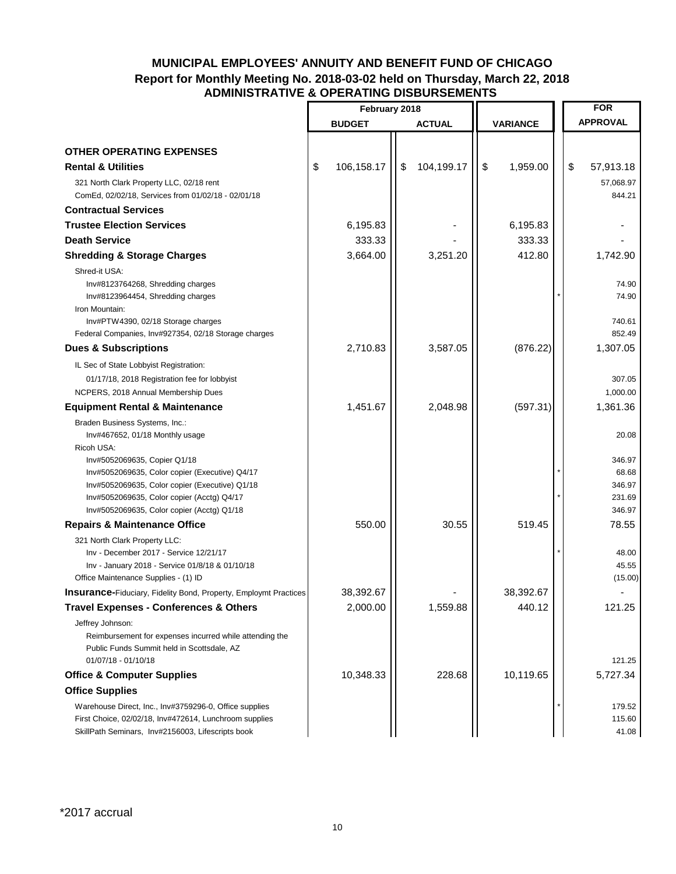## **MUNICIPAL EMPLOYEES' ANNUITY AND BENEFIT FUND OF CHICAGO Report for Monthly Meeting No. 2018-03-02 held on Thursday, March 22, 2018 ADMINISTRATIVE & OPERATING DISBURSEMENTS**

|                                                                                                                                                                                                         | February 2018    |    |               |                 |           |                 | <b>FOR</b>                         |
|---------------------------------------------------------------------------------------------------------------------------------------------------------------------------------------------------------|------------------|----|---------------|-----------------|-----------|-----------------|------------------------------------|
|                                                                                                                                                                                                         | <b>BUDGET</b>    |    | <b>ACTUAL</b> | <b>VARIANCE</b> |           | <b>APPROVAL</b> |                                    |
|                                                                                                                                                                                                         |                  |    |               |                 |           |                 |                                    |
| <b>OTHER OPERATING EXPENSES</b>                                                                                                                                                                         |                  |    |               |                 |           |                 |                                    |
| <b>Rental &amp; Utilities</b>                                                                                                                                                                           | \$<br>106,158.17 | \$ | 104,199.17    | \$              | 1,959.00  | \$              | 57,913.18                          |
| 321 North Clark Property LLC, 02/18 rent<br>ComEd, 02/02/18, Services from 01/02/18 - 02/01/18                                                                                                          |                  |    |               |                 |           |                 | 57,068.97<br>844.21                |
| <b>Contractual Services</b>                                                                                                                                                                             |                  |    |               |                 |           |                 |                                    |
| <b>Trustee Election Services</b>                                                                                                                                                                        | 6,195.83         |    |               |                 | 6,195.83  |                 |                                    |
| <b>Death Service</b>                                                                                                                                                                                    | 333.33           |    |               |                 | 333.33    |                 |                                    |
| <b>Shredding &amp; Storage Charges</b>                                                                                                                                                                  | 3,664.00         |    | 3,251.20      |                 | 412.80    |                 | 1,742.90                           |
| Shred-it USA:<br>Inv#8123764268, Shredding charges<br>Inv#8123964454, Shredding charges<br>Iron Mountain:<br>Inv#PTW4390, 02/18 Storage charges<br>Federal Companies, Inv#927354, 02/18 Storage charges |                  |    |               |                 |           |                 | 74.90<br>74.90<br>740.61<br>852.49 |
| <b>Dues &amp; Subscriptions</b>                                                                                                                                                                         | 2,710.83         |    | 3,587.05      |                 | (876.22)  |                 | 1,307.05                           |
|                                                                                                                                                                                                         |                  |    |               |                 |           |                 |                                    |
| IL Sec of State Lobbyist Registration:<br>01/17/18, 2018 Registration fee for lobbyist                                                                                                                  |                  |    |               |                 |           |                 | 307.05                             |
| NCPERS, 2018 Annual Membership Dues                                                                                                                                                                     |                  |    |               |                 |           |                 | 1,000.00                           |
| <b>Equipment Rental &amp; Maintenance</b>                                                                                                                                                               | 1,451.67         |    | 2,048.98      |                 | (597.31)  |                 | 1,361.36                           |
| Braden Business Systems, Inc.:                                                                                                                                                                          |                  |    |               |                 |           |                 |                                    |
| Inv#467652, 01/18 Monthly usage<br>Ricoh USA:<br>Inv#5052069635, Copier Q1/18<br>Inv#5052069635, Color copier (Executive) Q4/17<br>Inv#5052069635, Color copier (Executive) Q1/18                       |                  |    |               |                 |           |                 | 20.08<br>346.97<br>68.68<br>346.97 |
| Inv#5052069635, Color copier (Acctg) Q4/17<br>Inv#5052069635, Color copier (Acctg) Q1/18                                                                                                                |                  |    |               |                 |           |                 | 231.69<br>346.97                   |
| <b>Repairs &amp; Maintenance Office</b>                                                                                                                                                                 | 550.00           |    | 30.55         |                 | 519.45    |                 | 78.55                              |
| 321 North Clark Property LLC:<br>Inv - December 2017 - Service 12/21/17<br>Inv - January 2018 - Service 01/8/18 & 01/10/18<br>Office Maintenance Supplies - (1) ID                                      |                  |    |               |                 |           |                 | 48.00<br>45.55<br>(15.00)          |
| <b>Insurance-Fiduciary, Fidelity Bond, Property, Employmt Practices</b>                                                                                                                                 | 38,392.67        |    |               |                 | 38.392.67 |                 |                                    |
| <b>Travel Expenses - Conferences &amp; Others</b>                                                                                                                                                       | 2,000.00         |    | 1,559.88      |                 | 440.12    |                 | 121.25                             |
| Jeffrey Johnson:<br>Reimbursement for expenses incurred while attending the<br>Public Funds Summit held in Scottsdale, AZ<br>01/07/18 - 01/10/18                                                        |                  |    |               |                 |           |                 | 121.25                             |
| <b>Office &amp; Computer Supplies</b>                                                                                                                                                                   | 10,348.33        |    | 228.68        |                 | 10,119.65 |                 | 5,727.34                           |
| <b>Office Supplies</b>                                                                                                                                                                                  |                  |    |               |                 |           |                 |                                    |
| Warehouse Direct, Inc., Inv#3759296-0, Office supplies<br>First Choice, 02/02/18, Inv#472614, Lunchroom supplies<br>SkillPath Seminars, Inv#2156003, Lifescripts book                                   |                  |    |               |                 |           |                 | 179.52<br>115.60<br>41.08          |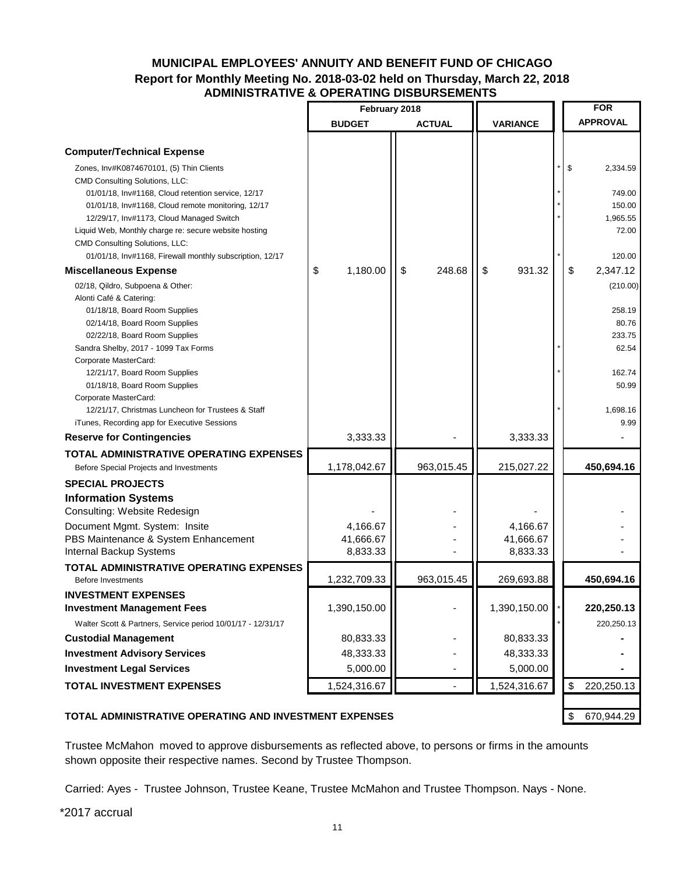## **MUNICIPAL EMPLOYEES' ANNUITY AND BENEFIT FUND OF CHICAGO Report for Monthly Meeting No. 2018-03-02 held on Thursday, March 22, 2018 ADMINISTRATIVE & OPERATING DISBURSEMENTS**

|                                                                                                | February 2018  |               |                 |  | <b>FOR</b> |                    |
|------------------------------------------------------------------------------------------------|----------------|---------------|-----------------|--|------------|--------------------|
|                                                                                                | <b>BUDGET</b>  | <b>ACTUAL</b> | <b>VARIANCE</b> |  |            | <b>APPROVAL</b>    |
|                                                                                                |                |               |                 |  |            |                    |
| <b>Computer/Technical Expense</b>                                                              |                |               |                 |  |            |                    |
| Zones, Inv#K0874670101, (5) Thin Clients                                                       |                |               |                 |  | \$         | 2,334.59           |
| <b>CMD Consulting Solutions, LLC:</b>                                                          |                |               |                 |  |            |                    |
| 01/01/18, Inv#1168, Cloud retention service, 12/17                                             |                |               |                 |  |            | 749.00             |
| 01/01/18, Inv#1168, Cloud remote monitoring, 12/17<br>12/29/17, Inv#1173, Cloud Managed Switch |                |               |                 |  |            | 150.00<br>1,965.55 |
| Liquid Web, Monthly charge re: secure website hosting                                          |                |               |                 |  |            | 72.00              |
| <b>CMD Consulting Solutions, LLC:</b>                                                          |                |               |                 |  |            |                    |
| 01/01/18, Inv#1168, Firewall monthly subscription, 12/17                                       |                |               |                 |  |            | 120.00             |
| <b>Miscellaneous Expense</b>                                                                   | \$<br>1,180.00 | \$<br>248.68  | \$<br>931.32    |  | \$         | 2,347.12           |
| 02/18, Qildro, Subpoena & Other:                                                               |                |               |                 |  |            | (210.00)           |
| Alonti Café & Catering:                                                                        |                |               |                 |  |            |                    |
| 01/18/18, Board Room Supplies                                                                  |                |               |                 |  |            | 258.19             |
| 02/14/18, Board Room Supplies                                                                  |                |               |                 |  |            | 80.76              |
| 02/22/18, Board Room Supplies                                                                  |                |               |                 |  |            | 233.75             |
| Sandra Shelby, 2017 - 1099 Tax Forms                                                           |                |               |                 |  |            | 62.54              |
| Corporate MasterCard:                                                                          |                |               |                 |  |            |                    |
| 12/21/17, Board Room Supplies<br>01/18/18, Board Room Supplies                                 |                |               |                 |  |            | 162.74<br>50.99    |
| Corporate MasterCard:                                                                          |                |               |                 |  |            |                    |
| 12/21/17, Christmas Luncheon for Trustees & Staff                                              |                |               |                 |  |            | 1,698.16           |
| iTunes, Recording app for Executive Sessions                                                   |                |               |                 |  |            | 9.99               |
| <b>Reserve for Contingencies</b>                                                               | 3,333.33       |               | 3,333.33        |  |            |                    |
| <b>TOTAL ADMINISTRATIVE OPERATING EXPENSES</b>                                                 |                |               |                 |  |            |                    |
| Before Special Projects and Investments                                                        | 1,178,042.67   | 963,015.45    | 215,027.22      |  |            | 450,694.16         |
| <b>SPECIAL PROJECTS</b>                                                                        |                |               |                 |  |            |                    |
| <b>Information Systems</b>                                                                     |                |               |                 |  |            |                    |
| Consulting: Website Redesign                                                                   |                |               |                 |  |            |                    |
| Document Mgmt. System: Insite                                                                  | 4,166.67       |               | 4,166.67        |  |            |                    |
| PBS Maintenance & System Enhancement                                                           | 41,666.67      |               | 41,666.67       |  |            |                    |
| Internal Backup Systems                                                                        | 8,833.33       |               | 8,833.33        |  |            |                    |
| TOTAL ADMINISTRATIVE OPERATING EXPENSES                                                        |                |               |                 |  |            |                    |
| <b>Before Investments</b>                                                                      | 1,232,709.33   | 963,015.45    | 269,693.88      |  |            | 450,694.16         |
| <b>INVESTMENT EXPENSES</b>                                                                     |                |               |                 |  |            |                    |
| <b>Investment Management Fees</b>                                                              | 1,390,150.00   |               | 1,390,150.00    |  |            | 220,250.13         |
| Walter Scott & Partners, Service period 10/01/17 - 12/31/17                                    |                |               |                 |  |            | 220,250.13         |
| <b>Custodial Management</b>                                                                    | 80,833.33      |               | 80,833.33       |  |            |                    |
| <b>Investment Advisory Services</b>                                                            | 48,333.33      |               | 48,333.33       |  |            |                    |
| <b>Investment Legal Services</b>                                                               | 5,000.00       |               | 5,000.00        |  |            |                    |
| <b>TOTAL INVESTMENT EXPENSES</b>                                                               | 1,524,316.67   |               | 1,524,316.67    |  | \$         | 220,250.13         |
|                                                                                                |                |               |                 |  |            |                    |
| TOTAL ADMINISTRATIVE OPERATING AND INVESTMENT EXPENSES                                         |                |               |                 |  | \$         | 670,944.29         |

Trustee McMahon moved to approve disbursements as reflected above, to persons or firms in the amounts shown opposite their respective names. Second by Trustee Thompson.

Carried: Ayes - Trustee Johnson, Trustee Keane, Trustee McMahon and Trustee Thompson. Nays - None.

\*2017 accrual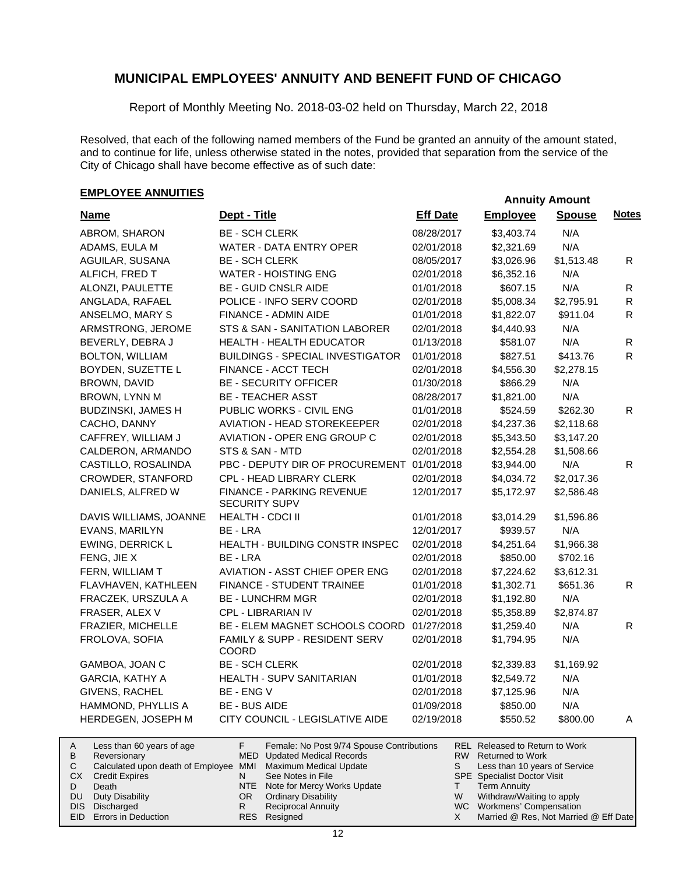Report of Monthly Meeting No. 2018-03-02 held on Thursday, March 22, 2018

Resolved, that each of the following named members of the Fund be granted an annuity of the amount stated, and to continue for life, unless otherwise stated in the notes, provided that separation from the service of the City of Chicago shall have become effective as of such date:

# **EMPLOYEE ANNUITIES EMPLOYEE ANNUITIES**

Duty Disability DIS Discharged EID Errors in Deduction

| <b>Name</b>                                                                                                                                                                       | Dept - Title                                                                                                                                                                                                                               | <b>Eff Date</b>   | <b>Employee</b>                                                                                                                                                                             | <b>Spouse</b> | <b>Notes</b> |
|-----------------------------------------------------------------------------------------------------------------------------------------------------------------------------------|--------------------------------------------------------------------------------------------------------------------------------------------------------------------------------------------------------------------------------------------|-------------------|---------------------------------------------------------------------------------------------------------------------------------------------------------------------------------------------|---------------|--------------|
| ABROM, SHARON                                                                                                                                                                     | <b>BE - SCH CLERK</b>                                                                                                                                                                                                                      | 08/28/2017        | \$3,403.74                                                                                                                                                                                  | N/A           |              |
| ADAMS, EULA M                                                                                                                                                                     | WATER - DATA ENTRY OPER                                                                                                                                                                                                                    | 02/01/2018        | \$2,321.69                                                                                                                                                                                  | N/A           |              |
| AGUILAR, SUSANA                                                                                                                                                                   | <b>BE - SCH CLERK</b>                                                                                                                                                                                                                      | 08/05/2017        | \$3,026.96                                                                                                                                                                                  | \$1,513.48    | R            |
| ALFICH, FRED T                                                                                                                                                                    | <b>WATER - HOISTING ENG</b>                                                                                                                                                                                                                | 02/01/2018        | \$6,352.16                                                                                                                                                                                  | N/A           |              |
| ALONZI, PAULETTE                                                                                                                                                                  | <b>BE - GUID CNSLR AIDE</b>                                                                                                                                                                                                                | 01/01/2018        | \$607.15                                                                                                                                                                                    | N/A           | $\mathsf{R}$ |
| ANGLADA, RAFAEL                                                                                                                                                                   | POLICE - INFO SERV COORD                                                                                                                                                                                                                   | 02/01/2018        | \$5,008.34                                                                                                                                                                                  | \$2,795.91    | $\mathsf{R}$ |
| ANSELMO, MARY S                                                                                                                                                                   | FINANCE - ADMIN AIDE                                                                                                                                                                                                                       | 01/01/2018        | \$1,822.07                                                                                                                                                                                  | \$911.04      | $\mathsf{R}$ |
| ARMSTRONG, JEROME                                                                                                                                                                 | STS & SAN - SANITATION LABORER                                                                                                                                                                                                             | 02/01/2018        | \$4,440.93                                                                                                                                                                                  | N/A           |              |
| BEVERLY, DEBRA J                                                                                                                                                                  | <b>HEALTH - HEALTH EDUCATOR</b>                                                                                                                                                                                                            | 01/13/2018        | \$581.07                                                                                                                                                                                    | N/A           | $\mathsf{R}$ |
| <b>BOLTON, WILLIAM</b>                                                                                                                                                            | <b>BUILDINGS - SPECIAL INVESTIGATOR</b>                                                                                                                                                                                                    | 01/01/2018        | \$827.51                                                                                                                                                                                    | \$413.76      | R.           |
| BOYDEN, SUZETTE L                                                                                                                                                                 | FINANCE - ACCT TECH                                                                                                                                                                                                                        | 02/01/2018        | \$4,556.30                                                                                                                                                                                  | \$2,278.15    |              |
| BROWN, DAVID                                                                                                                                                                      | <b>BE - SECURITY OFFICER</b>                                                                                                                                                                                                               | 01/30/2018        | \$866.29                                                                                                                                                                                    | N/A           |              |
| BROWN, LYNN M                                                                                                                                                                     | <b>BE - TEACHER ASST</b>                                                                                                                                                                                                                   | 08/28/2017        | \$1,821.00                                                                                                                                                                                  | N/A           |              |
| BUDZINSKI, JAMES H                                                                                                                                                                | PUBLIC WORKS - CIVIL ENG                                                                                                                                                                                                                   | 01/01/2018        | \$524.59                                                                                                                                                                                    | \$262.30      | R.           |
| CACHO, DANNY                                                                                                                                                                      | <b>AVIATION - HEAD STOREKEEPER</b>                                                                                                                                                                                                         | 02/01/2018        | \$4,237.36                                                                                                                                                                                  | \$2,118.68    |              |
| CAFFREY, WILLIAM J                                                                                                                                                                | AVIATION - OPER ENG GROUP C                                                                                                                                                                                                                | 02/01/2018        | \$5,343.50                                                                                                                                                                                  | \$3,147.20    |              |
| CALDERON, ARMANDO                                                                                                                                                                 | STS & SAN - MTD                                                                                                                                                                                                                            | 02/01/2018        | \$2,554.28                                                                                                                                                                                  | \$1,508.66    |              |
| CASTILLO, ROSALINDA                                                                                                                                                               | PBC - DEPUTY DIR OF PROCUREMENT                                                                                                                                                                                                            | 01/01/2018        | \$3,944.00                                                                                                                                                                                  | N/A           | R.           |
| CROWDER, STANFORD                                                                                                                                                                 | CPL - HEAD LIBRARY CLERK                                                                                                                                                                                                                   | 02/01/2018        | \$4,034.72                                                                                                                                                                                  | \$2,017.36    |              |
| DANIELS, ALFRED W                                                                                                                                                                 | FINANCE - PARKING REVENUE<br><b>SECURITY SUPV</b>                                                                                                                                                                                          | 12/01/2017        | \$5,172.97                                                                                                                                                                                  | \$2,586.48    |              |
| DAVIS WILLIAMS, JOANNE                                                                                                                                                            | HEALTH - CDCI II                                                                                                                                                                                                                           | 01/01/2018        | \$3,014.29                                                                                                                                                                                  | \$1,596.86    |              |
| EVANS, MARILYN                                                                                                                                                                    | BE - LRA                                                                                                                                                                                                                                   | 12/01/2017        | \$939.57                                                                                                                                                                                    | N/A           |              |
| EWING, DERRICK L                                                                                                                                                                  | HEALTH - BUILDING CONSTR INSPEC                                                                                                                                                                                                            | 02/01/2018        | \$4,251.64                                                                                                                                                                                  | \$1,966.38    |              |
| FENG, JIE X                                                                                                                                                                       | BE - LRA                                                                                                                                                                                                                                   | 02/01/2018        | \$850.00                                                                                                                                                                                    | \$702.16      |              |
| FERN, WILLIAM T                                                                                                                                                                   | <b>AVIATION - ASST CHIEF OPER ENG</b>                                                                                                                                                                                                      | 02/01/2018        | \$7,224.62                                                                                                                                                                                  | \$3,612.31    |              |
| FLAVHAVEN, KATHLEEN                                                                                                                                                               | FINANCE - STUDENT TRAINEE                                                                                                                                                                                                                  | 01/01/2018        | \$1,302.71                                                                                                                                                                                  | \$651.36      | $\mathsf{R}$ |
| FRACZEK, URSZULA A                                                                                                                                                                | <b>BE - LUNCHRM MGR</b>                                                                                                                                                                                                                    | 02/01/2018        | \$1,192.80                                                                                                                                                                                  | N/A           |              |
| FRASER, ALEX V                                                                                                                                                                    | CPL - LIBRARIAN IV                                                                                                                                                                                                                         | 02/01/2018        | \$5,358.89                                                                                                                                                                                  | \$2,874.87    |              |
| FRAZIER, MICHELLE                                                                                                                                                                 | BE - ELEM MAGNET SCHOOLS COORD                                                                                                                                                                                                             | 01/27/2018        | \$1,259.40                                                                                                                                                                                  | N/A           | $\mathsf{R}$ |
| FROLOVA, SOFIA                                                                                                                                                                    | FAMILY & SUPP - RESIDENT SERV<br><b>COORD</b>                                                                                                                                                                                              | 02/01/2018        | \$1,794.95                                                                                                                                                                                  | N/A           |              |
| GAMBOA, JOAN C                                                                                                                                                                    | <b>BE - SCH CLERK</b>                                                                                                                                                                                                                      | 02/01/2018        | \$2,339.83                                                                                                                                                                                  | \$1,169.92    |              |
| <b>GARCIA, KATHY A</b>                                                                                                                                                            | HEALTH - SUPV SANITARIAN                                                                                                                                                                                                                   | 01/01/2018        | \$2,549.72                                                                                                                                                                                  | N/A           |              |
| GIVENS, RACHEL                                                                                                                                                                    | BE - ENG V                                                                                                                                                                                                                                 | 02/01/2018        | \$7,125.96                                                                                                                                                                                  | N/A           |              |
| HAMMOND, PHYLLIS A                                                                                                                                                                | <b>BE - BUS AIDE</b>                                                                                                                                                                                                                       | 01/09/2018        | \$850.00                                                                                                                                                                                    | N/A           |              |
| HERDEGEN, JOSEPH M                                                                                                                                                                | CITY COUNCIL - LEGISLATIVE AIDE                                                                                                                                                                                                            | 02/19/2018        | \$550.52                                                                                                                                                                                    | \$800.00      | A            |
| Less than 60 years of age<br>A<br>В<br>Reversionary<br>C<br>Calculated upon death of Employee<br>СX<br><b>Credit Expires</b><br>Death<br>D<br><b>DU</b><br><b>Duty Disability</b> | F<br>Female: No Post 9/74 Spouse Contributions<br>MED<br><b>Updated Medical Records</b><br><b>Maximum Medical Update</b><br>MMI<br>See Notes in File<br>N<br><b>NTE</b><br>Note for Mercy Works Update<br><b>Ordinary Disability</b><br>OR | RW<br>S<br>Τ<br>W | <b>REL Released to Return to Work</b><br><b>Returned to Work</b><br>Less than 10 years of Service<br><b>SPE</b> Specialist Doctor Visit<br><b>Term Annuity</b><br>Withdraw/Waiting to apply |               |              |

Ordinary Disability Reciprocal Annuity

Resigned RES

R

WC Workmens' Compensation

X

Married @ Res, Not Married @ Eff Date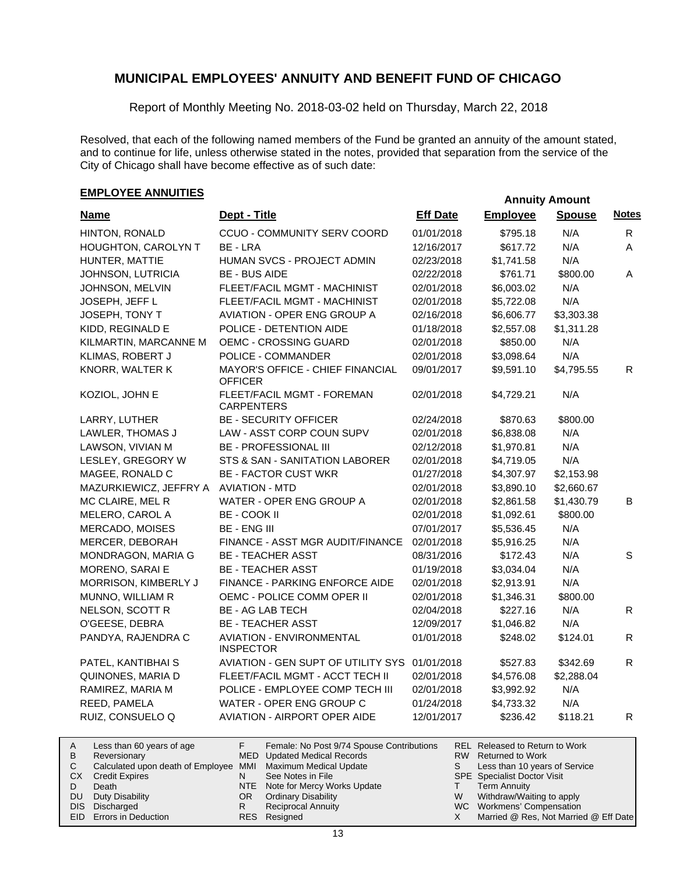Report of Monthly Meeting No. 2018-03-02 held on Thursday, March 22, 2018

Resolved, that each of the following named members of the Fund be granted an annuity of the amount stated, and to continue for life, unless otherwise stated in the notes, provided that separation from the service of the City of Chicago shall have become effective as of such date:

## **EMPLOYEE ANNUITIES**

| <b>Name</b>               | Dept - Title                                              | <b>Eff Date</b> | <b>Employee</b>                       | <b>Spouse</b> | <b>Notes</b> |
|---------------------------|-----------------------------------------------------------|-----------------|---------------------------------------|---------------|--------------|
| HINTON, RONALD            | CCUO - COMMUNITY SERV COORD                               | 01/01/2018      | \$795.18                              | N/A           | R            |
| HOUGHTON, CAROLYN T       | BE - LRA                                                  | 12/16/2017      | \$617.72                              | N/A           | A            |
| HUNTER, MATTIE            | HUMAN SVCS - PROJECT ADMIN                                | 02/23/2018      | \$1,741.58                            | N/A           |              |
| JOHNSON, LUTRICIA         | <b>BE - BUS AIDE</b>                                      | 02/22/2018      | \$761.71                              | \$800.00      | A            |
| JOHNSON, MELVIN           | FLEET/FACIL MGMT - MACHINIST                              | 02/01/2018      | \$6,003.02                            | N/A           |              |
| JOSEPH, JEFF L            | FLEET/FACIL MGMT - MACHINIST                              | 02/01/2018      | \$5,722.08                            | N/A           |              |
| JOSEPH, TONY T            | <b>AVIATION - OPER ENG GROUP A</b>                        | 02/16/2018      | \$6,606.77                            | \$3,303.38    |              |
| KIDD, REGINALD E          | POLICE - DETENTION AIDE                                   | 01/18/2018      | \$2,557.08                            | \$1,311.28    |              |
| KILMARTIN, MARCANNE M     | OEMC - CROSSING GUARD                                     | 02/01/2018      | \$850.00                              | N/A           |              |
| KLIMAS, ROBERT J          | POLICE - COMMANDER                                        | 02/01/2018      | \$3,098.64                            | N/A           |              |
| KNORR, WALTER K           | MAYOR'S OFFICE - CHIEF FINANCIAL<br><b>OFFICER</b>        | 09/01/2017      | \$9,591.10                            | \$4,795.55    | R.           |
| KOZIOL, JOHN E            | FLEET/FACIL MGMT - FOREMAN<br><b>CARPENTERS</b>           | 02/01/2018      | \$4,729.21                            | N/A           |              |
| LARRY, LUTHER             | <b>BE - SECURITY OFFICER</b>                              | 02/24/2018      | \$870.63                              | \$800.00      |              |
| LAWLER, THOMAS J          | LAW - ASST CORP COUN SUPV                                 | 02/01/2018      | \$6,838.08                            | N/A           |              |
| LAWSON, VIVIAN M          | <b>BE - PROFESSIONAL III</b>                              | 02/12/2018      | \$1,970.81                            | N/A           |              |
| LESLEY, GREGORY W         | STS & SAN - SANITATION LABORER                            | 02/01/2018      | \$4,719.05                            | N/A           |              |
| MAGEE, RONALD C           | <b>BE - FACTOR CUST WKR</b>                               | 01/27/2018      | \$4,307.97                            | \$2,153.98    |              |
| MAZURKIEWICZ, JEFFRY A    | <b>AVIATION - MTD</b>                                     | 02/01/2018      | \$3,890.10                            | \$2,660.67    |              |
| MC CLAIRE, MEL R          | WATER - OPER ENG GROUP A                                  | 02/01/2018      | \$2,861.58                            | \$1,430.79    | В            |
| MELERO, CAROL A           | BE - COOK II                                              | 02/01/2018      | \$1,092.61                            | \$800.00      |              |
| MERCADO, MOISES           | <b>BE - ENG III</b>                                       | 07/01/2017      | \$5,536.45                            | N/A           |              |
| MERCER, DEBORAH           | FINANCE - ASST MGR AUDIT/FINANCE                          | 02/01/2018      | \$5,916.25                            | N/A           |              |
| MONDRAGON, MARIA G        | <b>BE - TEACHER ASST</b>                                  | 08/31/2016      | \$172.43                              | N/A           | S            |
| MORENO, SARAI E           | <b>BE - TEACHER ASST</b>                                  | 01/19/2018      | \$3,034.04                            | N/A           |              |
| MORRISON, KIMBERLY J      | FINANCE - PARKING ENFORCE AIDE                            | 02/01/2018      | \$2,913.91                            | N/A           |              |
| MUNNO, WILLIAM R          | OEMC - POLICE COMM OPER II                                | 02/01/2018      | \$1,346.31                            | \$800.00      |              |
| NELSON, SCOTT R           | <b>BE - AG LAB TECH</b>                                   | 02/04/2018      | \$227.16                              | N/A           | R            |
| O'GEESE, DEBRA            | <b>BE - TEACHER ASST</b>                                  | 12/09/2017      | \$1,046.82                            | N/A           |              |
| PANDYA, RAJENDRA C        | <b>AVIATION - ENVIRONMENTAL</b><br><b>INSPECTOR</b>       | 01/01/2018      | \$248.02                              | \$124.01      | R            |
| PATEL, KANTIBHAI S        | AVIATION - GEN SUPT OF UTILITY SYS                        | 01/01/2018      | \$527.83                              | \$342.69      | R            |
| QUINONES, MARIA D         | FLEET/FACIL MGMT - ACCT TECH II                           | 02/01/2018      | \$4,576.08                            | \$2,288.04    |              |
| RAMIREZ, MARIA M          | POLICE - EMPLOYEE COMP TECH III                           | 02/01/2018      | \$3,992.92                            | N/A           |              |
| REED, PAMELA              | WATER - OPER ENG GROUP C                                  | 01/24/2018      | \$4,733.32                            | N/A           |              |
| RUIZ, CONSUELO Q          | AVIATION - AIRPORT OPER AIDE                              | 12/01/2017      | \$236.42                              | \$118.21      | $\mathsf{R}$ |
| Loce than 60 years of age | $\mathbf{E}$<br>Eamala: No Post 0/74 Spouse Contributions |                 | <b>PEI</b> Pelessed to Peturn to Work |               |              |

| A   | Less than 60 years of age                                    |     | Female: No Post 9/74 Spouse Contributions |   | REL Released to Return to Work        |
|-----|--------------------------------------------------------------|-----|-------------------------------------------|---|---------------------------------------|
| B   | Reversionary                                                 |     | MED Updated Medical Records               |   | RW Returned to Work                   |
|     | Calculated upon death of Employee MMI Maximum Medical Update |     |                                           |   | Less than 10 years of Service         |
| CX. | <b>Credit Expires</b>                                        |     | See Notes in File                         |   | <b>SPE</b> Specialist Doctor Visit    |
|     | Death                                                        |     | NTE Note for Mercy Works Update           |   | <b>Term Annuity</b>                   |
|     | DU Duty Disability                                           | OR. | <b>Ordinary Disability</b>                | W | Withdraw/Waiting to apply             |
|     | DIS Discharged                                               |     | <b>Reciprocal Annuity</b>                 |   | WC Workmens' Compensation             |
|     | EID Errors in Deduction                                      |     | RES Resigned                              |   | Married @ Res, Not Married @ Eff Date |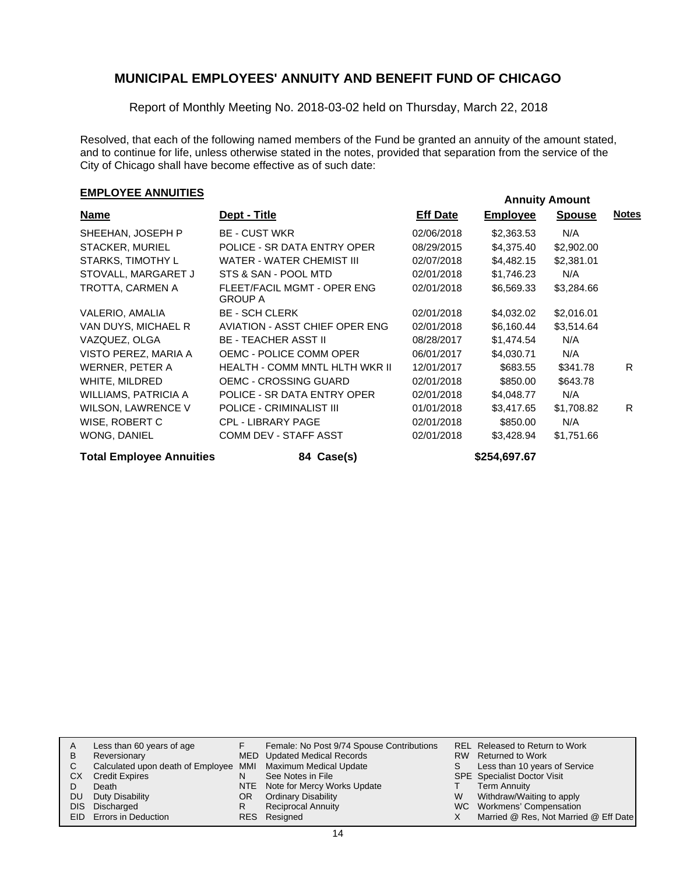Report of Monthly Meeting No. 2018-03-02 held on Thursday, March 22, 2018

Resolved, that each of the following named members of the Fund be granted an annuity of the amount stated, and to continue for life, unless otherwise stated in the notes, provided that separation from the service of the City of Chicago shall have become effective as of such date:

## **EMPLOYEE ANNUITIES**

| <b>Name</b>               | Dept - Title                                  | <b>Eff Date</b> | <b>Employee</b> | <b>Spouse</b> | <u>Notes</u> |
|---------------------------|-----------------------------------------------|-----------------|-----------------|---------------|--------------|
| SHEEHAN, JOSEPH P         | <b>BE - CUST WKR</b>                          | 02/06/2018      | \$2,363.53      | N/A           |              |
| <b>STACKER, MURIEL</b>    | POLICE - SR DATA ENTRY OPER                   | 08/29/2015      | \$4,375.40      | \$2,902.00    |              |
| STARKS, TIMOTHY L         | WATER - WATER CHEMIST III                     | 02/07/2018      | \$4,482.15      | \$2,381.01    |              |
| STOVALL, MARGARET J       | STS & SAN - POOL MTD                          | 02/01/2018      | \$1,746.23      | N/A           |              |
| TROTTA, CARMEN A          | FLEET/FACIL MGMT - OPER ENG<br><b>GROUP A</b> | 02/01/2018      | \$6,569.33      | \$3,284.66    |              |
| VALERIO, AMALIA           | <b>BE - SCH CLERK</b>                         | 02/01/2018      | \$4,032.02      | \$2,016.01    |              |
| VAN DUYS, MICHAEL R       | AVIATION - ASST CHIEF OPER ENG                | 02/01/2018      | \$6,160.44      | \$3,514.64    |              |
| VAZQUEZ, OLGA             | <b>BE - TEACHER ASST II</b>                   | 08/28/2017      | \$1,474.54      | N/A           |              |
| VISTO PEREZ, MARIA A      | OEMC - POLICE COMM OPER                       | 06/01/2017      | \$4,030.71      | N/A           |              |
| WERNER, PETER A           | HEALTH - COMM MNTL HLTH WKR II                | 12/01/2017      | \$683.55        | \$341.78      | R.           |
| WHITE, MILDRED            | <b>OEMC - CROSSING GUARD</b>                  | 02/01/2018      | \$850.00        | \$643.78      |              |
| WILLIAMS, PATRICIA A      | POLICE - SR DATA ENTRY OPER                   | 02/01/2018      | \$4,048.77      | N/A           |              |
| <b>WILSON, LAWRENCE V</b> | POLICE - CRIMINALIST III                      | 01/01/2018      | \$3,417.65      | \$1,708.82    | R.           |
| WISE, ROBERT C            | <b>CPL - LIBRARY PAGE</b>                     | 02/01/2018      | \$850.00        | N/A           |              |
| WONG, DANIEL              | COMM DEV - STAFF ASST                         | 02/01/2018      | \$3,428.94      | \$1,751.66    |              |

**Total Employee Annuities 84 Case(s) \$254,697.67**

| A    | Less than 60 years of age                                    |     | Female: No Post 9/74 Spouse Contributions |   | REL Released to Return to Work        |
|------|--------------------------------------------------------------|-----|-------------------------------------------|---|---------------------------------------|
| В    | Reversionary                                                 |     | MED Updated Medical Records               |   | RW Returned to Work                   |
| C.   | Calculated upon death of Employee MMI Maximum Medical Update |     |                                           |   | Less than 10 years of Service         |
| СX   | <b>Credit Expires</b>                                        | N   | See Notes in File                         |   | <b>SPE</b> Specialist Doctor Visit    |
|      | Death                                                        |     | NTE Note for Mercy Works Update           |   | <b>Term Annuity</b>                   |
| DU   | Duty Disability                                              | OR. | <b>Ordinary Disability</b>                | W | Withdraw/Waiting to apply             |
| DIS. | Discharged                                                   | R   | <b>Reciprocal Annuity</b>                 |   | WC Workmens' Compensation             |
|      | EID Errors in Deduction                                      |     | RES Resigned                              |   | Married @ Res, Not Married @ Eff Date |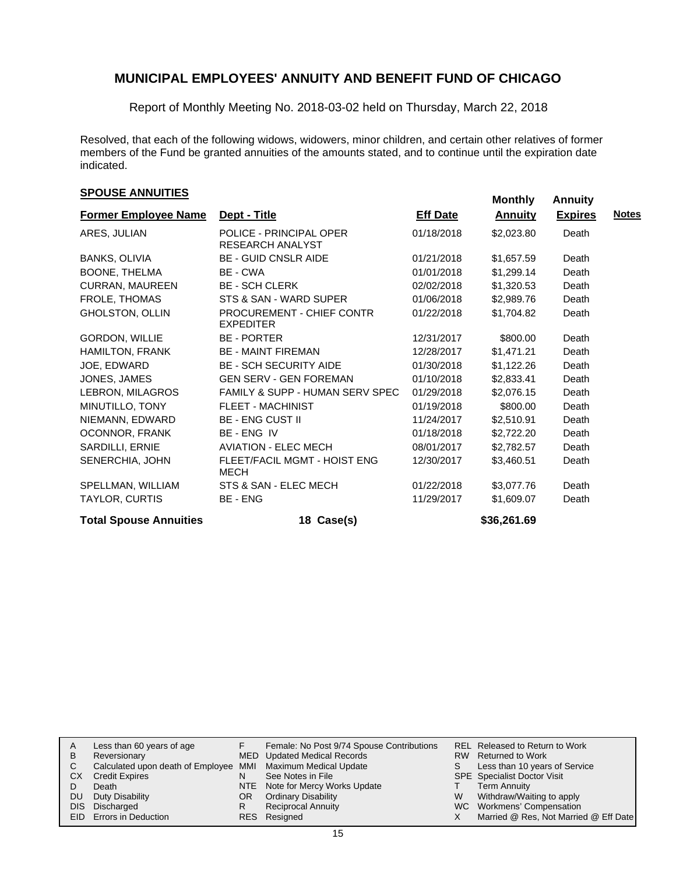Report of Monthly Meeting No. 2018-03-02 held on Thursday, March 22, 2018

Resolved, that each of the following widows, widowers, minor children, and certain other relatives of former members of the Fund be granted annuities of the amounts stated, and to continue until the expiration date indicated.

# **EXPOUSE ANNUITIES SPOUSE ANNUITIES**

| <b>Former Employee Name</b>   | Dept - Title                                  | <b>Eff Date</b> | <b>Annuity</b> | <b>Expires</b> | <b>Notes</b> |
|-------------------------------|-----------------------------------------------|-----------------|----------------|----------------|--------------|
| ARES, JULIAN                  | POLICE - PRINCIPAL OPER<br>RESEARCH ANALYST   | 01/18/2018      | \$2,023.80     | Death          |              |
| BANKS, OLIVIA                 | <b>BE - GUID CNSLR AIDE</b>                   | 01/21/2018      | \$1,657.59     | Death          |              |
| BOONE, THELMA                 | BE - CWA                                      | 01/01/2018      | \$1,299.14     | Death          |              |
| <b>CURRAN, MAUREEN</b>        | <b>BE - SCH CLERK</b>                         | 02/02/2018      | \$1,320.53     | Death          |              |
| FROLE, THOMAS                 | STS & SAN - WARD SUPER                        | 01/06/2018      | \$2,989.76     | Death          |              |
| GHOLSTON, OLLIN               | PROCUREMENT - CHIEF CONTR<br><b>EXPEDITER</b> | 01/22/2018      | \$1,704.82     | Death          |              |
| GORDON, WILLIE                | <b>BE - PORTER</b>                            | 12/31/2017      | \$800.00       | Death          |              |
| <b>HAMILTON, FRANK</b>        | <b>BE - MAINT FIREMAN</b>                     | 12/28/2017      | \$1,471.21     | Death          |              |
| JOE, EDWARD                   | <b>BE - SCH SECURITY AIDE</b>                 | 01/30/2018      | \$1,122.26     | Death          |              |
| JONES, JAMES                  | <b>GEN SERV - GEN FOREMAN</b>                 | 01/10/2018      | \$2,833.41     | Death          |              |
| LEBRON, MILAGROS              | FAMILY & SUPP - HUMAN SERV SPEC               | 01/29/2018      | \$2,076.15     | Death          |              |
| MINUTILLO, TONY               | <b>FLEET - MACHINIST</b>                      | 01/19/2018      | \$800.00       | Death          |              |
| NIEMANN, EDWARD               | <b>BE - ENG CUST II</b>                       | 11/24/2017      | \$2,510.91     | Death          |              |
| OCONNOR, FRANK                | BE-ENG IV                                     | 01/18/2018      | \$2,722.20     | Death          |              |
| SARDILLI, ERNIE               | <b>AVIATION - ELEC MECH</b>                   | 08/01/2017      | \$2,782.57     | Death          |              |
| SENERCHIA, JOHN               | FLEET/FACIL MGMT - HOIST ENG<br>MECH          | 12/30/2017      | \$3,460.51     | Death          |              |
| SPELLMAN, WILLIAM             | STS & SAN - ELEC MECH                         | 01/22/2018      | \$3,077.76     | Death          |              |
| TAYLOR, CURTIS                | BE - ENG                                      | 11/29/2017      | \$1,609.07     | Death          |              |
| <b>Total Spouse Annuities</b> | 18 Case(s)                                    |                 | \$36,261.69    |                |              |

|    | Less than 60 years of age                                    |     | Female: No Post 9/74 Spouse Contributions |    | REL Released to Return to Work        |
|----|--------------------------------------------------------------|-----|-------------------------------------------|----|---------------------------------------|
| B  | Reversionary                                                 |     | MED Updated Medical Records               |    | RW Returned to Work                   |
|    | Calculated upon death of Employee MMI Maximum Medical Update |     |                                           | S. | Less than 10 years of Service         |
| CХ | <b>Credit Expires</b>                                        | N   | See Notes in File                         |    | <b>SPE</b> Specialist Doctor Visit    |
|    | Death                                                        |     | NTE Note for Mercy Works Update           |    | <b>Term Annuity</b>                   |
| DU | Duty Disability                                              | OR. | <b>Ordinary Disability</b>                | W  | Withdraw/Waiting to apply             |
|    | DIS Discharged                                               | R   | <b>Reciprocal Annuity</b>                 |    | WC Workmens' Compensation             |
|    | <b>EID</b> Errors in Deduction                               |     | RES Resigned                              |    | Married @ Res, Not Married @ Eff Date |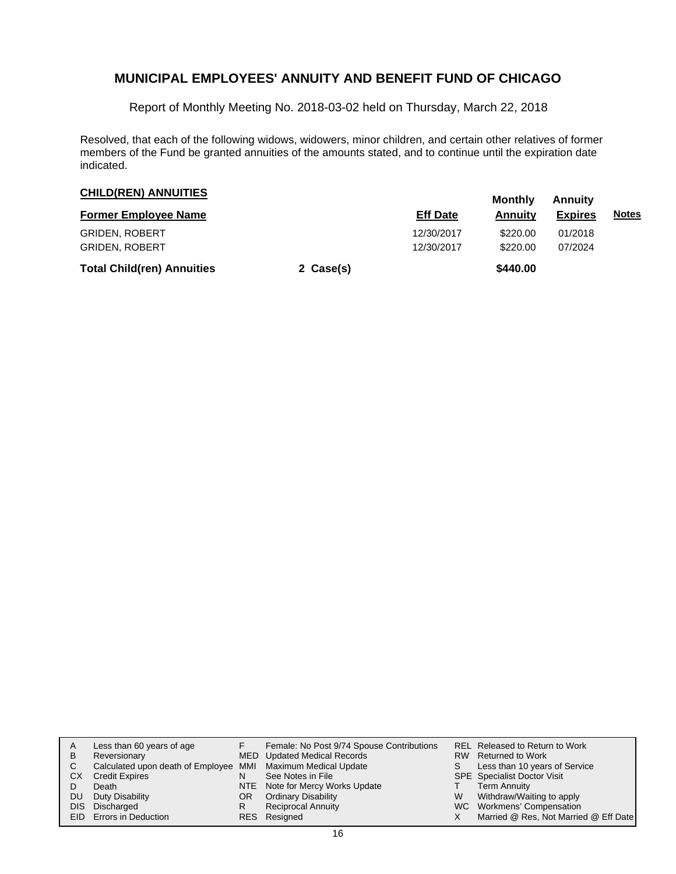Report of Monthly Meeting No. 2018-03-02 held on Thursday, March 22, 2018

Resolved, that each of the following widows, widowers, minor children, and certain other relatives of former members of the Fund be granted annuities of the amounts stated, and to continue until the expiration date indicated.

| <b>CHILD(REN) ANNUITIES</b>       |           | Monthly         | <b>Annuity</b> |                |              |
|-----------------------------------|-----------|-----------------|----------------|----------------|--------------|
| <b>Former Employee Name</b>       |           | <b>Eff Date</b> | Annuity        | <b>Expires</b> | <u>Notes</u> |
| <b>GRIDEN, ROBERT</b>             |           | 12/30/2017      | \$220.00       | 01/2018        |              |
| <b>GRIDEN, ROBERT</b>             |           | 12/30/2017      | \$220.00       | 07/2024        |              |
| <b>Total Child(ren) Annuities</b> | 2 Case(s) |                 | \$440.00       |                |              |

| A<br>B<br>СX<br>DU | Less than 60 years of age<br>Reversionary<br>Calculated upon death of Employee MMI Maximum Medical Update<br><b>Credit Expires</b><br>Death<br>Duty Disability<br>DIS Discharged<br>EID Errors in Deduction | OR<br>R | Female: No Post 9/74 Spouse Contributions<br>MED Updated Medical Records<br>See Notes in File<br>NTE Note for Mercy Works Update<br><b>Ordinary Disability</b><br><b>Reciprocal Annuity</b><br>RES Resigned | W | REL Released to Return to Work<br>RW Returned to Work<br>Less than 10 years of Service<br><b>SPE</b> Specialist Doctor Visit<br><b>Term Annuity</b><br>Withdraw/Waiting to apply<br>WC Workmens' Compensation<br>Married @ Res, Not Married @ Eff Date |
|--------------------|-------------------------------------------------------------------------------------------------------------------------------------------------------------------------------------------------------------|---------|-------------------------------------------------------------------------------------------------------------------------------------------------------------------------------------------------------------|---|--------------------------------------------------------------------------------------------------------------------------------------------------------------------------------------------------------------------------------------------------------|
|--------------------|-------------------------------------------------------------------------------------------------------------------------------------------------------------------------------------------------------------|---------|-------------------------------------------------------------------------------------------------------------------------------------------------------------------------------------------------------------|---|--------------------------------------------------------------------------------------------------------------------------------------------------------------------------------------------------------------------------------------------------------|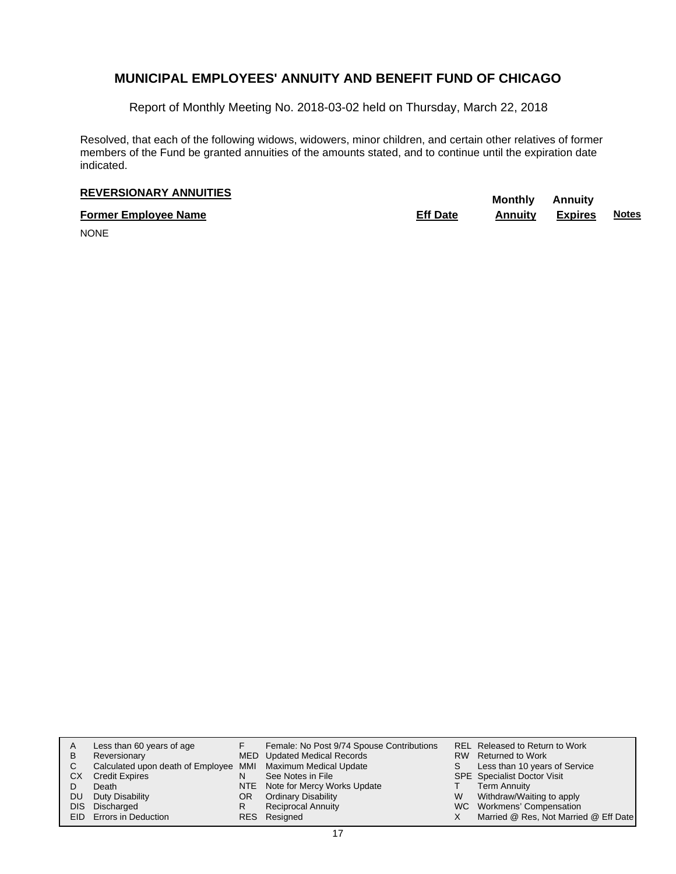Report of Monthly Meeting No. 2018-03-02 held on Thursday, March 22, 2018

Resolved, that each of the following widows, widowers, minor children, and certain other relatives of former members of the Fund be granted annuities of the amounts stated, and to continue until the expiration date indicated.

# **REVERSIONARY ANNUITIES** Monthly Annuity

**Former Employee Name Eff Date Annuity Expires Notes**

NONE

| Α  | Less than 60 years of age                                    |    | Female: No Post 9/74 Spouse Contributions |   | REL Released to Return to Work        |
|----|--------------------------------------------------------------|----|-------------------------------------------|---|---------------------------------------|
|    |                                                              |    |                                           |   |                                       |
| B  | Reversionary                                                 |    | MED Updated Medical Records               |   | RW Returned to Work                   |
| C. | Calculated upon death of Employee MMI Maximum Medical Update |    |                                           |   | Less than 10 years of Service         |
| СX | <b>Credit Expires</b>                                        |    | See Notes in File                         |   | <b>SPE</b> Specialist Doctor Visit    |
|    | Death                                                        |    | NTE Note for Mercy Works Update           |   | <b>Term Annuity</b>                   |
| DU | Duty Disability                                              | OR | <b>Ordinary Disability</b>                | W | Withdraw/Waiting to apply             |
|    | DIS Discharged                                               | R  | <b>Reciprocal Annuity</b>                 |   | WC Workmens' Compensation             |
|    | EID Errors in Deduction                                      |    | RES Resigned                              |   | Married @ Res, Not Married @ Eff Date |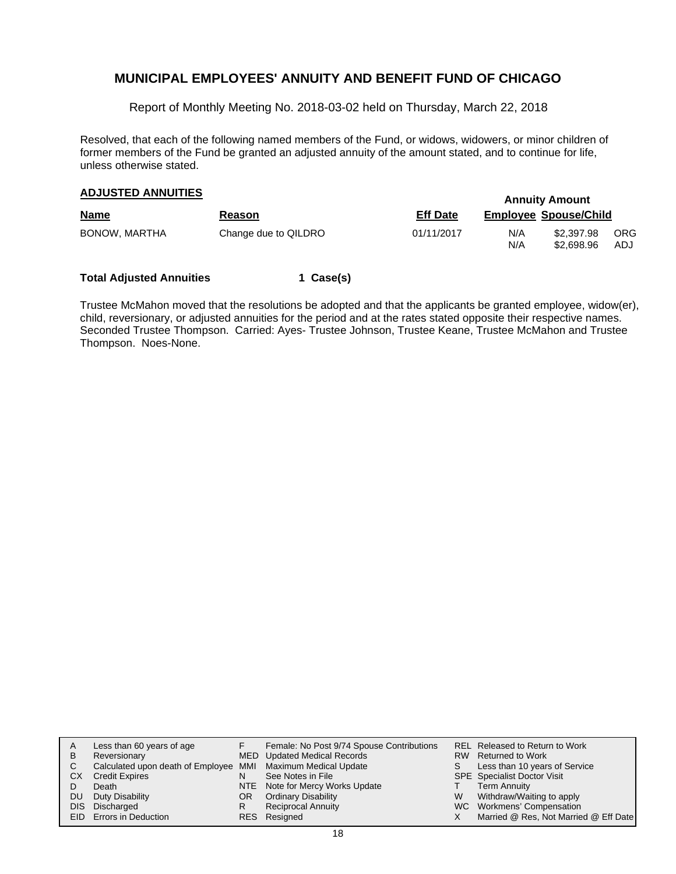Report of Monthly Meeting No. 2018-03-02 held on Thursday, March 22, 2018

Resolved, that each of the following named members of the Fund, or widows, widowers, or minor children of former members of the Fund be granted an adjusted annuity of the amount stated, and to continue for life, unless otherwise stated.

## **Annuity Amount ADJUSTED ANNUITIES**

|               |                      |                 | <u>THILMINI THILMIN</u> |                              |                    |  |  |
|---------------|----------------------|-----------------|-------------------------|------------------------------|--------------------|--|--|
| <b>Name</b>   | <b>Reason</b>        | <b>Eff Date</b> |                         | <b>Employee Spouse/Child</b> |                    |  |  |
| BONOW, MARTHA | Change due to QILDRO | 01/11/2017      | N/A<br>N/A              | \$2,397.98<br>\$2.698.96     | <b>ORG</b><br>ADJ. |  |  |

#### **Total Adjusted Annuities 1 Case(s)**

Trustee McMahon moved that the resolutions be adopted and that the applicants be granted employee, widow(er), child, reversionary, or adjusted annuities for the period and at the rates stated opposite their respective names. Seconded Trustee Thompson. Carried: Ayes- Trustee Johnson, Trustee Keane, Trustee McMahon and Trustee Thompson. Noes-None.

| Α  | Less than 60 years of age                                    |    | Female: No Post 9/74 Spouse Contributions |   | REL Released to Return to Work        |
|----|--------------------------------------------------------------|----|-------------------------------------------|---|---------------------------------------|
| B  | Reversionary                                                 |    | <b>MED</b> Updated Medical Records        |   | RW Returned to Work                   |
| C. | Calculated upon death of Employee MMI Maximum Medical Update |    |                                           |   | Less than 10 years of Service         |
| СX | <b>Credit Expires</b>                                        | N  | See Notes in File                         |   | <b>SPE</b> Specialist Doctor Visit    |
|    | Death                                                        |    | NTE Note for Mercy Works Update           |   | <b>Term Annuity</b>                   |
| DU | Duty Disability                                              | OR | <b>Ordinary Disability</b>                | W | Withdraw/Waiting to apply             |
|    | DIS Discharged                                               | R  | <b>Reciprocal Annuity</b>                 |   | WC Workmens' Compensation             |
|    | <b>EID</b> Errors in Deduction                               |    | RES Resigned                              |   | Married @ Res, Not Married @ Eff Date |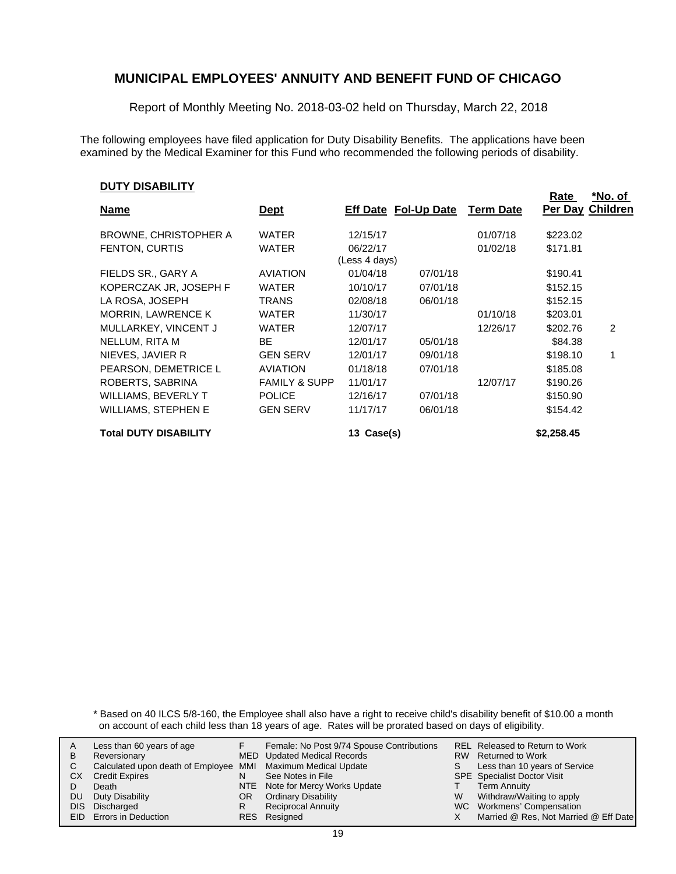Report of Monthly Meeting No. 2018-03-02 held on Thursday, March 22, 2018

The following employees have filed application for Duty Disability Benefits. The applications have been examined by the Medical Examiner for this Fund who recommended the following periods of disability.

#### **DUTY DISABILITY**

|                                                                       |                  | Rate       | <u>*No. of</u>  |
|-----------------------------------------------------------------------|------------------|------------|-----------------|
| <b>Eff Date Fol-Up Date</b><br><u>Name</u><br><u>Dept</u>             | <b>Term Date</b> | Per Day    | <b>Children</b> |
| <b>BROWNE, CHRISTOPHER A</b><br><b>WATER</b><br>12/15/17              | 01/07/18         | \$223.02   |                 |
| <b>FENTON, CURTIS</b><br><b>WATER</b><br>06/22/17                     | 01/02/18         | \$171.81   |                 |
| (Less 4 days)                                                         |                  |            |                 |
| FIELDS SR., GARY A<br><b>AVIATION</b><br>01/04/18<br>07/01/18         |                  | \$190.41   |                 |
| KOPERCZAK JR, JOSEPH F<br>WATER<br>10/10/17<br>07/01/18               |                  | \$152.15   |                 |
| LA ROSA, JOSEPH<br><b>TRANS</b><br>02/08/18<br>06/01/18               |                  | \$152.15   |                 |
| <b>MORRIN, LAWRENCE K</b><br>11/30/17<br><b>WATER</b>                 | 01/10/18         | \$203.01   |                 |
| MULLARKEY, VINCENT J<br><b>WATER</b><br>12/07/17                      | 12/26/17         | \$202.76   | 2               |
| NELLUM, RITA M<br>BE<br>12/01/17<br>05/01/18                          |                  | \$84.38    |                 |
| <b>GEN SERV</b><br>NIEVES, JAVIER R<br>12/01/17<br>09/01/18           |                  | \$198.10   | 1               |
| PEARSON, DEMETRICE L<br><b>AVIATION</b><br>01/18/18<br>07/01/18       |                  | \$185.08   |                 |
| ROBERTS, SABRINA<br><b>FAMILY &amp; SUPP</b><br>11/01/17              | 12/07/17         | \$190.26   |                 |
| <b>WILLIAMS, BEVERLY T</b><br><b>POLICE</b><br>12/16/17<br>07/01/18   |                  | \$150.90   |                 |
| <b>GEN SERV</b><br><b>WILLIAMS, STEPHEN E</b><br>11/17/17<br>06/01/18 |                  | \$154.42   |                 |
| <b>Total DUTY DISABILITY</b><br>13 Case(s)                            |                  | \$2,258.45 |                 |

\* Based on 40 ILCS 5/8-160, the Employee shall also have a right to receive child's disability benefit of \$10.00 a month on account of each child less than 18 years of age. Rates will be prorated based on days of eligibility.

| B<br>СX<br>DU<br>DIS. | Less than 60 years of age<br>Reversionary<br>Calculated upon death of Employee MMI Maximum Medical Update<br><b>Credit Expires</b><br>Death<br>Duty Disability<br>Discharged | N<br>0R<br>R | Female: No Post 9/74 Spouse Contributions<br>MED Updated Medical Records<br>See Notes in File<br>NTE Note for Mercy Works Update<br><b>Ordinary Disability</b><br><b>Reciprocal Annuity</b> | W | REL Released to Return to Work<br>RW Returned to Work<br>Less than 10 years of Service<br><b>SPE</b> Specialist Doctor Visit<br><b>Term Annuity</b><br>Withdraw/Waiting to apply<br>WC Workmens' Compensation |
|-----------------------|------------------------------------------------------------------------------------------------------------------------------------------------------------------------------|--------------|---------------------------------------------------------------------------------------------------------------------------------------------------------------------------------------------|---|---------------------------------------------------------------------------------------------------------------------------------------------------------------------------------------------------------------|
|                       | EID Errors in Deduction                                                                                                                                                      |              | RES Resigned                                                                                                                                                                                |   | Married @ Res, Not Married @ Eff Date                                                                                                                                                                         |
|                       |                                                                                                                                                                              |              |                                                                                                                                                                                             |   |                                                                                                                                                                                                               |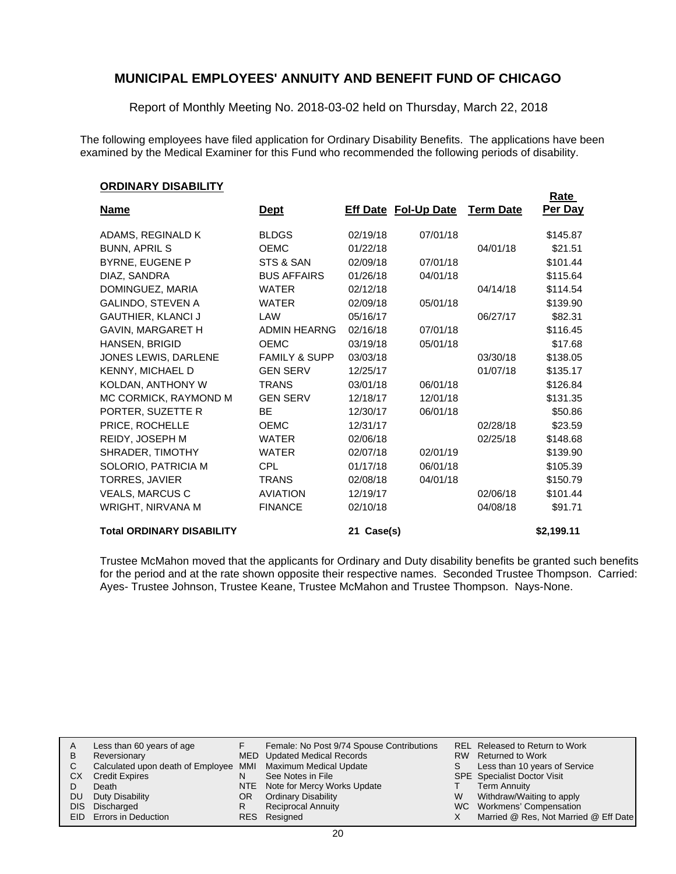Report of Monthly Meeting No. 2018-03-02 held on Thursday, March 22, 2018

The following employees have filed application for Ordinary Disability Benefits. The applications have been examined by the Medical Examiner for this Fund who recommended the following periods of disability.

#### **ORDINARY DISABILITY**

|                                  |                          |            |                             |                  | <b>Rate</b> |
|----------------------------------|--------------------------|------------|-----------------------------|------------------|-------------|
| <b>Name</b>                      | <b>Dept</b>              |            | <b>Eff Date Fol-Up Date</b> | <b>Term Date</b> | Per Day     |
| ADAMS, REGINALD K                | <b>BLDGS</b>             | 02/19/18   | 07/01/18                    |                  | \$145.87    |
| <b>BUNN, APRIL S</b>             | <b>OEMC</b>              | 01/22/18   |                             | 04/01/18         | \$21.51     |
| <b>BYRNE, EUGENE P</b>           | STS & SAN                | 02/09/18   | 07/01/18                    |                  | \$101.44    |
| DIAZ, SANDRA                     | <b>BUS AFFAIRS</b>       | 01/26/18   | 04/01/18                    |                  | \$115.64    |
| DOMINGUEZ, MARIA                 | <b>WATER</b>             | 02/12/18   |                             | 04/14/18         | \$114.54    |
| <b>GALINDO, STEVEN A</b>         | <b>WATER</b>             | 02/09/18   | 05/01/18                    |                  | \$139.90    |
| <b>GAUTHIER, KLANCI J</b>        | LAW                      | 05/16/17   |                             | 06/27/17         | \$82.31     |
| GAVIN, MARGARET H                | <b>ADMIN HEARNG</b>      | 02/16/18   | 07/01/18                    |                  | \$116.45    |
| HANSEN, BRIGID                   | <b>OEMC</b>              | 03/19/18   | 05/01/18                    |                  | \$17.68     |
| JONES LEWIS, DARLENE             | <b>FAMILY &amp; SUPP</b> | 03/03/18   |                             | 03/30/18         | \$138.05    |
| KENNY, MICHAEL D                 | <b>GEN SERV</b>          | 12/25/17   |                             | 01/07/18         | \$135.17    |
| KOLDAN, ANTHONY W                | <b>TRANS</b>             | 03/01/18   | 06/01/18                    |                  | \$126.84    |
| MC CORMICK, RAYMOND M            | <b>GEN SERV</b>          | 12/18/17   | 12/01/18                    |                  | \$131.35    |
| PORTER, SUZETTE R                | <b>BE</b>                | 12/30/17   | 06/01/18                    |                  | \$50.86     |
| PRICE, ROCHELLE                  | <b>OEMC</b>              | 12/31/17   |                             | 02/28/18         | \$23.59     |
| REIDY, JOSEPH M                  | <b>WATER</b>             | 02/06/18   |                             | 02/25/18         | \$148.68    |
| SHRADER, TIMOTHY                 | <b>WATER</b>             | 02/07/18   | 02/01/19                    |                  | \$139.90    |
| SOLORIO, PATRICIA M              | <b>CPL</b>               | 01/17/18   | 06/01/18                    |                  | \$105.39    |
| <b>TORRES, JAVIER</b>            | <b>TRANS</b>             | 02/08/18   | 04/01/18                    |                  | \$150.79    |
| VEALS, MARCUS C                  | <b>AVIATION</b>          | 12/19/17   |                             | 02/06/18         | \$101.44    |
| WRIGHT, NIRVANA M                | <b>FINANCE</b>           | 02/10/18   |                             | 04/08/18         | \$91.71     |
| <b>Total ORDINARY DISABILITY</b> |                          | 21 Case(s) |                             |                  | \$2,199.11  |

Trustee McMahon moved that the applicants for Ordinary and Duty disability benefits be granted such benefits for the period and at the rate shown opposite their respective names. Seconded Trustee Thompson. Carried: Ayes- Trustee Johnson, Trustee Keane, Trustee McMahon and Trustee Thompson. Nays-None.

|    | Less than 60 years of age                                    |     | Female: No Post 9/74 Spouse Contributions |    | REL Released to Return to Work        |
|----|--------------------------------------------------------------|-----|-------------------------------------------|----|---------------------------------------|
| В  | Reversionary                                                 |     | MED Updated Medical Records               |    | RW Returned to Work                   |
|    | Calculated upon death of Employee MMI Maximum Medical Update |     |                                           | S. | Less than 10 years of Service         |
| CX | <b>Credit Expires</b>                                        | N   | See Notes in File                         |    | <b>SPE</b> Specialist Doctor Visit    |
|    | Death                                                        |     | NTE Note for Mercy Works Update           |    | <b>Term Annuity</b>                   |
| DU | Duty Disability                                              | OR. | <b>Ordinary Disability</b>                | W  | Withdraw/Waiting to apply             |
|    | DIS Discharged                                               | R   | <b>Reciprocal Annuity</b>                 |    | WC Workmens' Compensation             |
|    | <b>EID</b> Errors in Deduction                               |     | RES Resigned                              |    | Married @ Res, Not Married @ Eff Date |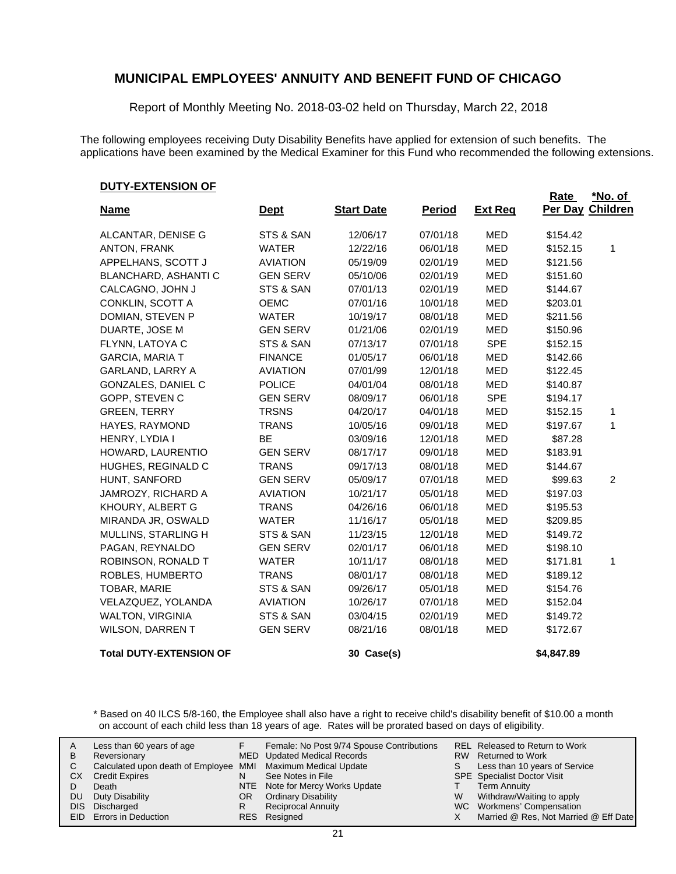Report of Monthly Meeting No. 2018-03-02 held on Thursday, March 22, 2018

The following employees receiving Duty Disability Benefits have applied for extension of such benefits. The applications have been examined by the Medical Examiner for this Fund who recommended the following extensions.

#### **DUTY-EXTENSION OF**

|                                |                 |                   |               |                | <b>Rate</b> | *No. of          |
|--------------------------------|-----------------|-------------------|---------------|----------------|-------------|------------------|
| <b>Name</b>                    | <b>Dept</b>     | <b>Start Date</b> | <b>Period</b> | <b>Ext Reg</b> |             | Per Day Children |
| ALCANTAR, DENISE G             | STS & SAN       | 12/06/17          | 07/01/18      | MED            | \$154.42    |                  |
| ANTON, FRANK                   | <b>WATER</b>    | 12/22/16          | 06/01/18      | MED            | \$152.15    | 1                |
| APPELHANS, SCOTT J             | <b>AVIATION</b> | 05/19/09          | 02/01/19      | <b>MED</b>     | \$121.56    |                  |
| BLANCHARD, ASHANTI C           | <b>GEN SERV</b> | 05/10/06          | 02/01/19      | MED            | \$151.60    |                  |
| CALCAGNO, JOHN J               | STS & SAN       | 07/01/13          | 02/01/19      | MED            | \$144.67    |                  |
| CONKLIN, SCOTT A               | <b>OEMC</b>     | 07/01/16          | 10/01/18      | MED            | \$203.01    |                  |
| DOMIAN, STEVEN P               | <b>WATER</b>    | 10/19/17          | 08/01/18      | <b>MED</b>     | \$211.56    |                  |
| DUARTE, JOSE M                 | <b>GEN SERV</b> | 01/21/06          | 02/01/19      | <b>MED</b>     | \$150.96    |                  |
| FLYNN, LATOYA C                | STS & SAN       | 07/13/17          | 07/01/18      | <b>SPE</b>     | \$152.15    |                  |
| <b>GARCIA, MARIA T</b>         | <b>FINANCE</b>  | 01/05/17          | 06/01/18      | <b>MED</b>     | \$142.66    |                  |
| <b>GARLAND, LARRY A</b>        | <b>AVIATION</b> | 07/01/99          | 12/01/18      | <b>MED</b>     | \$122.45    |                  |
| GONZALES, DANIEL C             | <b>POLICE</b>   | 04/01/04          | 08/01/18      | MED            | \$140.87    |                  |
| GOPP, STEVEN C                 | <b>GEN SERV</b> | 08/09/17          | 06/01/18      | <b>SPE</b>     | \$194.17    |                  |
| <b>GREEN, TERRY</b>            | <b>TRSNS</b>    | 04/20/17          | 04/01/18      | MED            | \$152.15    | 1                |
| HAYES, RAYMOND                 | <b>TRANS</b>    | 10/05/16          | 09/01/18      | <b>MED</b>     | \$197.67    | 1                |
| HENRY, LYDIA I                 | BE              | 03/09/16          | 12/01/18      | MED            | \$87.28     |                  |
| HOWARD, LAURENTIO              | <b>GEN SERV</b> | 08/17/17          | 09/01/18      | MED            | \$183.91    |                  |
| HUGHES, REGINALD C             | <b>TRANS</b>    | 09/17/13          | 08/01/18      | MED            | \$144.67    |                  |
| HUNT, SANFORD                  | <b>GEN SERV</b> | 05/09/17          | 07/01/18      | <b>MED</b>     | \$99.63     | 2                |
| JAMROZY, RICHARD A             | <b>AVIATION</b> | 10/21/17          | 05/01/18      | <b>MED</b>     | \$197.03    |                  |
| KHOURY, ALBERT G               | <b>TRANS</b>    | 04/26/16          | 06/01/18      | <b>MED</b>     | \$195.53    |                  |
| MIRANDA JR, OSWALD             | <b>WATER</b>    | 11/16/17          | 05/01/18      | <b>MED</b>     | \$209.85    |                  |
| MULLINS, STARLING H            | STS & SAN       | 11/23/15          | 12/01/18      | <b>MED</b>     | \$149.72    |                  |
| PAGAN, REYNALDO                | <b>GEN SERV</b> | 02/01/17          | 06/01/18      | MED            | \$198.10    |                  |
| ROBINSON, RONALD T             | <b>WATER</b>    | 10/11/17          | 08/01/18      | MED            | \$171.81    | 1                |
| ROBLES, HUMBERTO               | <b>TRANS</b>    | 08/01/17          | 08/01/18      | MED            | \$189.12    |                  |
| TOBAR, MARIE                   | STS & SAN       | 09/26/17          | 05/01/18      | MED            | \$154.76    |                  |
| VELAZQUEZ, YOLANDA             | <b>AVIATION</b> | 10/26/17          | 07/01/18      | MED            | \$152.04    |                  |
| <b>WALTON, VIRGINIA</b>        | STS & SAN       | 03/04/15          | 02/01/19      | MED            | \$149.72    |                  |
| <b>WILSON, DARREN T</b>        | <b>GEN SERV</b> | 08/21/16          | 08/01/18      | <b>MED</b>     | \$172.67    |                  |
| <b>Total DUTY-EXTENSION OF</b> |                 | 30 Case(s)        |               |                | \$4,847.89  |                  |

\* Based on 40 ILCS 5/8-160, the Employee shall also have a right to receive child's disability benefit of \$10.00 a month on account of each child less than 18 years of age. Rates will be prorated based on days of eligibility.

| A<br>В<br>СX<br>DU<br>DIS. | Less than 60 years of age<br>Reversionary<br>Calculated upon death of Employee MMI Maximum Medical Update<br><b>Credit Expires</b><br>Death<br>Duty Disability<br>Discharged<br><b>EID</b> Errors in Deduction | N<br>OR<br>R | Female: No Post 9/74 Spouse Contributions<br>MED Updated Medical Records<br>See Notes in File<br>NTE Note for Mercy Works Update<br><b>Ordinary Disability</b><br><b>Reciprocal Annuity</b><br>RES Resigned | S<br>W<br>X. | <b>REL Released to Return to Work</b><br>RW Returned to Work<br>Less than 10 years of Service<br><b>SPE</b> Specialist Doctor Visit<br><b>Term Annuity</b><br>Withdraw/Waiting to apply<br>WC Workmens' Compensation<br>Married @ Res, Not Married @ Eff Date |
|----------------------------|----------------------------------------------------------------------------------------------------------------------------------------------------------------------------------------------------------------|--------------|-------------------------------------------------------------------------------------------------------------------------------------------------------------------------------------------------------------|--------------|---------------------------------------------------------------------------------------------------------------------------------------------------------------------------------------------------------------------------------------------------------------|
|----------------------------|----------------------------------------------------------------------------------------------------------------------------------------------------------------------------------------------------------------|--------------|-------------------------------------------------------------------------------------------------------------------------------------------------------------------------------------------------------------|--------------|---------------------------------------------------------------------------------------------------------------------------------------------------------------------------------------------------------------------------------------------------------------|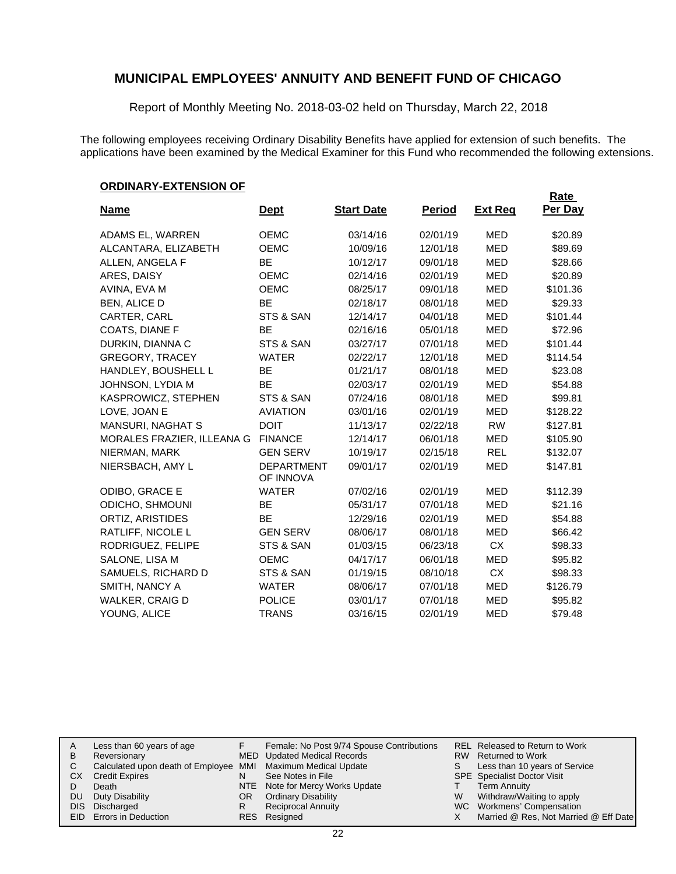Report of Monthly Meeting No. 2018-03-02 held on Thursday, March 22, 2018

The following employees receiving Ordinary Disability Benefits have applied for extension of such benefits. The applications have been examined by the Medical Examiner for this Fund who recommended the following extensions.

#### **ORDINARY-EXTENSION OF**

|                            |                                |                   |               |                | Rate     |
|----------------------------|--------------------------------|-------------------|---------------|----------------|----------|
| <b>Name</b>                | <u>Dept</u>                    | <b>Start Date</b> | <u>Period</u> | <b>Ext Reg</b> | Per Day  |
| ADAMS EL, WARREN           | <b>OEMC</b>                    | 03/14/16          | 02/01/19      | <b>MED</b>     | \$20.89  |
| ALCANTARA, ELIZABETH       | <b>OEMC</b>                    | 10/09/16          | 12/01/18      | <b>MED</b>     | \$89.69  |
| ALLEN, ANGELA F            | <b>BE</b>                      | 10/12/17          | 09/01/18      | <b>MED</b>     | \$28.66  |
| ARES, DAISY                | <b>OEMC</b>                    | 02/14/16          | 02/01/19      | <b>MED</b>     | \$20.89  |
| AVINA, EVA M               | <b>OEMC</b>                    | 08/25/17          | 09/01/18      | <b>MED</b>     | \$101.36 |
| <b>BEN, ALICE D</b>        | <b>BE</b>                      | 02/18/17          | 08/01/18      | <b>MED</b>     | \$29.33  |
| CARTER, CARL               | STS & SAN                      | 12/14/17          | 04/01/18      | MED            | \$101.44 |
| COATS, DIANE F             | <b>BE</b>                      | 02/16/16          | 05/01/18      | <b>MED</b>     | \$72.96  |
| DURKIN, DIANNA C           | STS & SAN                      | 03/27/17          | 07/01/18      | <b>MED</b>     | \$101.44 |
| <b>GREGORY, TRACEY</b>     | <b>WATER</b>                   | 02/22/17          | 12/01/18      | <b>MED</b>     | \$114.54 |
| HANDLEY, BOUSHELL L        | <b>BE</b>                      | 01/21/17          | 08/01/18      | <b>MED</b>     | \$23.08  |
| JOHNSON, LYDIA M           | <b>BE</b>                      | 02/03/17          | 02/01/19      | <b>MED</b>     | \$54.88  |
| KASPROWICZ, STEPHEN        | STS & SAN                      | 07/24/16          | 08/01/18      | <b>MED</b>     | \$99.81  |
| LOVE, JOAN E               | <b>AVIATION</b>                | 03/01/16          | 02/01/19      | <b>MED</b>     | \$128.22 |
| <b>MANSURI, NAGHAT S</b>   | <b>DOIT</b>                    | 11/13/17          | 02/22/18      | <b>RW</b>      | \$127.81 |
| MORALES FRAZIER, ILLEANA G | <b>FINANCE</b>                 | 12/14/17          | 06/01/18      | <b>MED</b>     | \$105.90 |
| NIERMAN, MARK              | <b>GEN SERV</b>                | 10/19/17          | 02/15/18      | <b>REL</b>     | \$132.07 |
| NIERSBACH, AMY L           | <b>DEPARTMENT</b><br>OF INNOVA | 09/01/17          | 02/01/19      | <b>MED</b>     | \$147.81 |
| ODIBO, GRACE E             | <b>WATER</b>                   | 07/02/16          | 02/01/19      | <b>MED</b>     | \$112.39 |
| ODICHO, SHMOUNI            | BЕ                             | 05/31/17          | 07/01/18      | <b>MED</b>     | \$21.16  |
| ORTIZ, ARISTIDES           | <b>BE</b>                      | 12/29/16          | 02/01/19      | MED            | \$54.88  |
| RATLIFF, NICOLE L          | <b>GEN SERV</b>                | 08/06/17          | 08/01/18      | <b>MED</b>     | \$66.42  |
| RODRIGUEZ, FELIPE          | STS & SAN                      | 01/03/15          | 06/23/18      | <b>CX</b>      | \$98.33  |
| SALONE, LISA M             | <b>OEMC</b>                    | 04/17/17          | 06/01/18      | <b>MED</b>     | \$95.82  |
| SAMUELS, RICHARD D         | STS & SAN                      | 01/19/15          | 08/10/18      | <b>CX</b>      | \$98.33  |
| SMITH, NANCY A             | <b>WATER</b>                   | 08/06/17          | 07/01/18      | <b>MED</b>     | \$126.79 |
| WALKER, CRAIG D            | <b>POLICE</b>                  | 03/01/17          | 07/01/18      | <b>MED</b>     | \$95.82  |
| YOUNG, ALICE               | <b>TRANS</b>                   | 03/16/15          | 02/01/19      | <b>MED</b>     | \$79.48  |

| Female: No Post 9/74 Spouse Contributions<br>Less than 60 years of age<br>A<br>MED Updated Medical Records<br>Reversionary<br>В<br>Calculated upon death of Employee MMI Maximum Medical Update<br>See Notes in File<br>CХ<br><b>Credit Expires</b><br>N<br>NTE Note for Mercy Works Update<br>Death<br>Duty Disability<br><b>Ordinary Disability</b><br>DU<br>OR<br>Discharged<br><b>Reciprocal Annuity</b><br>DIS.<br>R<br>EID Errors in Deduction<br>RES Resigned | S<br>W | RW Returned to Work<br>Less than 10 years of Service<br><b>SPE</b> Specialist Doctor Visit<br><b>Term Annuity</b><br>Withdraw/Waiting to apply<br>WC Workmens' Compensation<br>Married @ Res, Not Married @ Eff Date |
|----------------------------------------------------------------------------------------------------------------------------------------------------------------------------------------------------------------------------------------------------------------------------------------------------------------------------------------------------------------------------------------------------------------------------------------------------------------------|--------|----------------------------------------------------------------------------------------------------------------------------------------------------------------------------------------------------------------------|
|----------------------------------------------------------------------------------------------------------------------------------------------------------------------------------------------------------------------------------------------------------------------------------------------------------------------------------------------------------------------------------------------------------------------------------------------------------------------|--------|----------------------------------------------------------------------------------------------------------------------------------------------------------------------------------------------------------------------|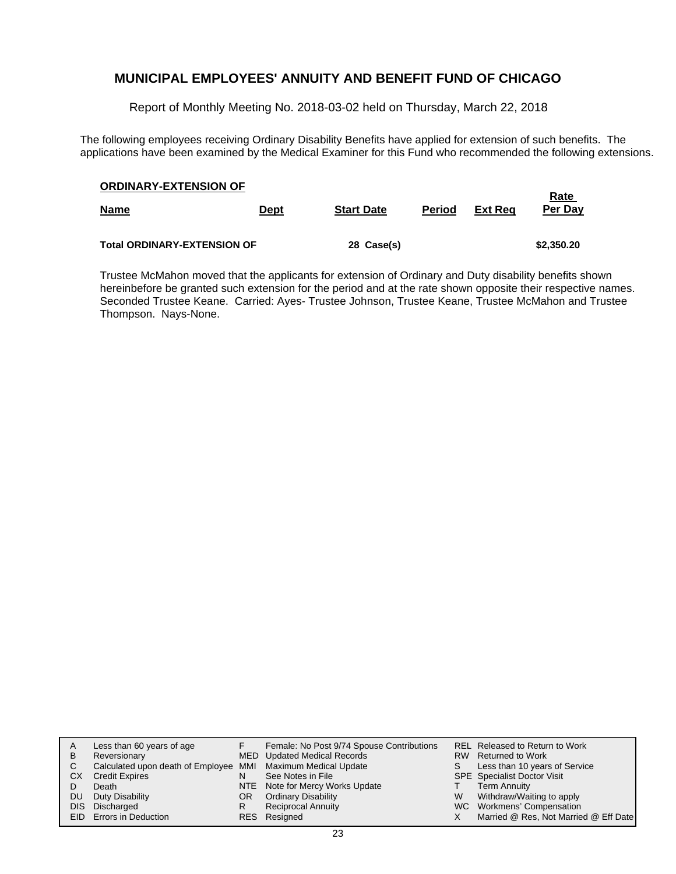Report of Monthly Meeting No. 2018-03-02 held on Thursday, March 22, 2018

The following employees receiving Ordinary Disability Benefits have applied for extension of such benefits. The applications have been examined by the Medical Examiner for this Fund who recommended the following extensions.

| <b>ORDINARY-EXTENSION OF</b>       |             |                   |               |                |                        |  |  |
|------------------------------------|-------------|-------------------|---------------|----------------|------------------------|--|--|
| <u>Name</u>                        | <b>Dept</b> | <b>Start Date</b> | <b>Period</b> | <b>Ext Reg</b> | <b>Rate</b><br>Per Day |  |  |
|                                    |             |                   |               |                |                        |  |  |
| <b>Total ORDINARY-EXTENSION OF</b> |             | 28 Case(s)        |               |                | \$2,350.20             |  |  |

Trustee McMahon moved that the applicants for extension of Ordinary and Duty disability benefits shown hereinbefore be granted such extension for the period and at the rate shown opposite their respective names. Seconded Trustee Keane. Carried: Ayes- Trustee Johnson, Trustee Keane, Trustee McMahon and Trustee Thompson. Nays-None.

| A    | Less than 60 years of age                                    |     | Female: No Post 9/74 Spouse Contributions |    | REL Released to Return to Work        |
|------|--------------------------------------------------------------|-----|-------------------------------------------|----|---------------------------------------|
| В    | Reversionary                                                 |     | MED Updated Medical Records               |    | RW Returned to Work                   |
|      | Calculated upon death of Employee MMI Maximum Medical Update |     |                                           | S. | Less than 10 years of Service         |
| СX   | <b>Credit Expires</b>                                        | N   | See Notes in File                         |    | <b>SPE</b> Specialist Doctor Visit    |
|      | Death                                                        |     | NTE Note for Mercy Works Update           |    | <b>Term Annuity</b>                   |
| DU   | Duty Disability                                              | OR. | <b>Ordinary Disability</b>                | W  | Withdraw/Waiting to apply             |
| DIS. | Discharged                                                   | R   | <b>Reciprocal Annuity</b>                 |    | WC Workmens' Compensation             |
|      | <b>EID</b> Errors in Deduction                               |     | RES Resigned                              |    | Married @ Res, Not Married @ Eff Date |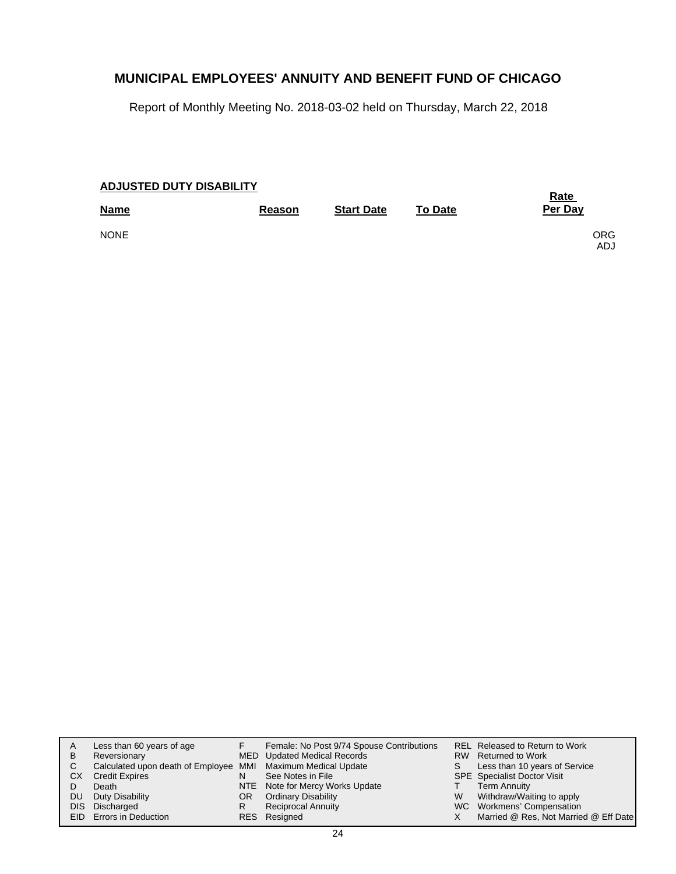Report of Monthly Meeting No. 2018-03-02 held on Thursday, March 22, 2018

| <b>ADJUSTED DUTY DISABILITY</b> | <b>Rate</b>   |                   |                |                   |
|---------------------------------|---------------|-------------------|----------------|-------------------|
| <b>Name</b>                     | <b>Reason</b> | <b>Start Date</b> | <b>To Date</b> | Per Day           |
| <b>NONE</b>                     |               |                   |                | <b>ORG</b><br>ADJ |

| A    | Less than 60 years of age                                    |     | Female: No Post 9/74 Spouse Contributions |   | REL Released to Return to Work        |
|------|--------------------------------------------------------------|-----|-------------------------------------------|---|---------------------------------------|
| В    | Reversionary                                                 |     | MED Updated Medical Records               |   | RW Returned to Work                   |
|      | Calculated upon death of Employee MMI Maximum Medical Update |     |                                           |   | Less than 10 years of Service         |
| СX   | <b>Credit Expires</b>                                        | N   | See Notes in File                         |   | <b>SPE</b> Specialist Doctor Visit    |
|      | Death                                                        |     | NTE Note for Mercy Works Update           |   | <b>Term Annuity</b>                   |
| DU   | Duty Disability                                              | OR. | <b>Ordinary Disability</b>                | W | Withdraw/Waiting to apply             |
| DIS. | Discharged                                                   | R   | <b>Reciprocal Annuity</b>                 |   | WC Workmens' Compensation             |
|      | <b>EID</b> Errors in Deduction                               |     | RES Resigned                              |   | Married @ Res, Not Married @ Eff Date |
|      |                                                              |     |                                           |   |                                       |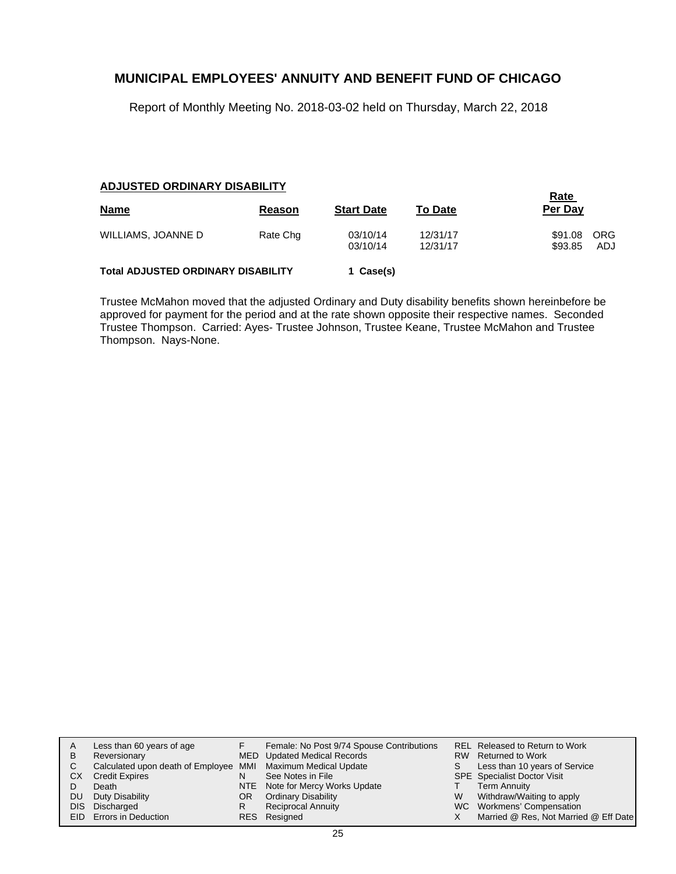Report of Monthly Meeting No. 2018-03-02 held on Thursday, March 22, 2018

#### **ADJUSTED ORDINARY DISABILITY**

| <b>Name</b>                               | Reason   | <b>Start Date</b>    | <b>To Date</b>       | <b>Rate</b><br>Per Day |                   |
|-------------------------------------------|----------|----------------------|----------------------|------------------------|-------------------|
| WILLIAMS, JOANNE D                        | Rate Chg | 03/10/14<br>03/10/14 | 12/31/17<br>12/31/17 | \$91.08<br>\$93.85     | <b>ORG</b><br>ADJ |
| <b>Total ADJUSTED ORDINARY DISABILITY</b> |          | 1 Case(s)            |                      |                        |                   |

Trustee McMahon moved that the adjusted Ordinary and Duty disability benefits shown hereinbefore be approved for payment for the period and at the rate shown opposite their respective names. Seconded Trustee Thompson. Carried: Ayes- Trustee Johnson, Trustee Keane, Trustee McMahon and Trustee Thompson. Nays-None.

| A    | Less than 60 years of age                                    |    | Female: No Post 9/74 Spouse Contributions |   | REL Released to Return to Work        |
|------|--------------------------------------------------------------|----|-------------------------------------------|---|---------------------------------------|
| в    | Reversionary                                                 |    | MED Updated Medical Records               |   | RW Returned to Work                   |
|      | Calculated upon death of Employee MMI Maximum Medical Update |    |                                           | S | Less than 10 years of Service         |
| CХ   | <b>Credit Expires</b>                                        | N  | See Notes in File                         |   | <b>SPE</b> Specialist Doctor Visit    |
|      | Death                                                        |    | NTE Note for Mercy Works Update           |   | <b>Term Annuity</b>                   |
| DU   | Duty Disability                                              | OR | <b>Ordinary Disability</b>                | W | Withdraw/Waiting to apply             |
| DIS. | Discharged                                                   | R  | <b>Reciprocal Annuity</b>                 |   | WC Workmens' Compensation             |
|      | <b>EID</b> Errors in Deduction                               |    | RES Resigned                              |   | Married @ Res, Not Married @ Eff Date |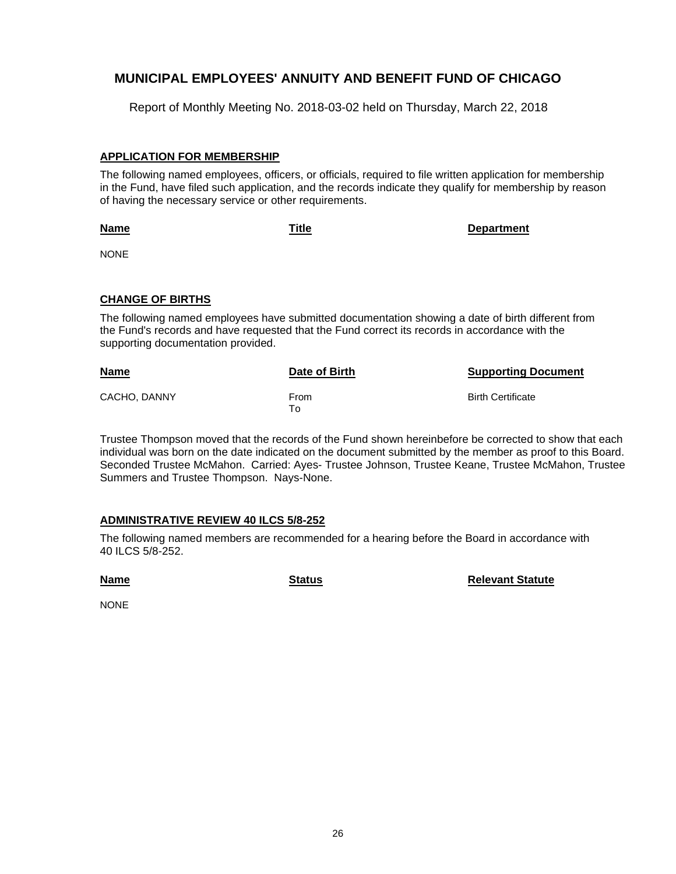Report of Monthly Meeting No. 2018-03-02 held on Thursday, March 22, 2018

## **APPLICATION FOR MEMBERSHIP**

The following named employees, officers, or officials, required to file written application for membership in the Fund, have filed such application, and the records indicate they qualify for membership by reason of having the necessary service or other requirements.

**Name**

**Title Department**

NONE

## **CHANGE OF BIRTHS**

The following named employees have submitted documentation showing a date of birth different from the Fund's records and have requested that the Fund correct its records in accordance with the supporting documentation provided.

| <b>Name</b>  | Date of Birth | <b>Supporting Document</b> |
|--------------|---------------|----------------------------|
| CACHO, DANNY | From<br>To    | <b>Birth Certificate</b>   |

Trustee Thompson moved that the records of the Fund shown hereinbefore be corrected to show that each individual was born on the date indicated on the document submitted by the member as proof to this Board. Seconded Trustee McMahon. Carried: Ayes- Trustee Johnson, Trustee Keane, Trustee McMahon, Trustee Summers and Trustee Thompson. Nays-None.

## **ADMINISTRATIVE REVIEW 40 ILCS 5/8-252**

The following named members are recommended for a hearing before the Board in accordance with 40 ILCS 5/8-252.

**Name**

**Status Relevant Statute** 

NONE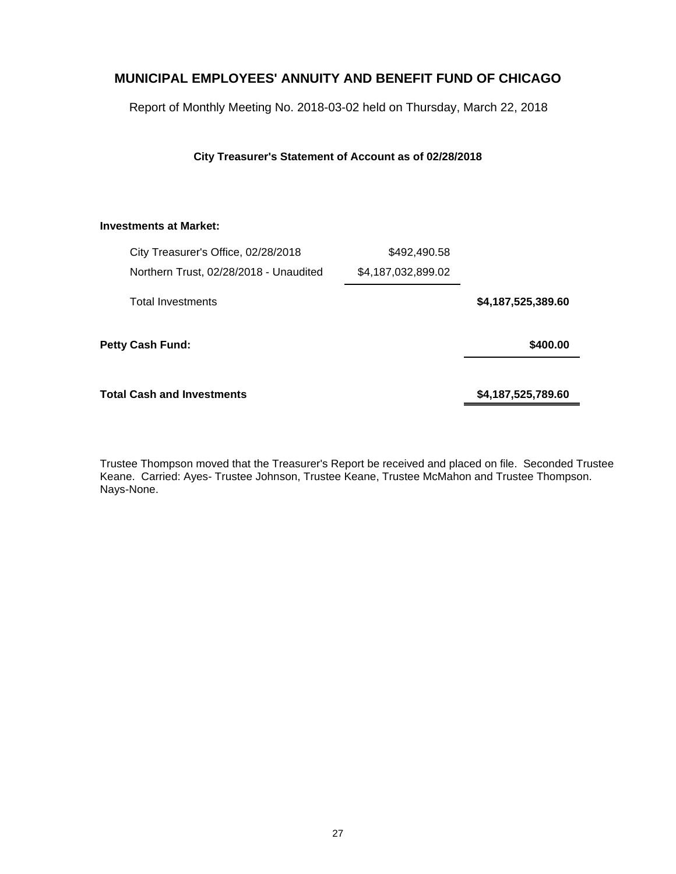Report of Monthly Meeting No. 2018-03-02 held on Thursday, March 22, 2018

**City Treasurer's Statement of Account as of 02/28/2018**

#### **Investments at Market:**

| City Treasurer's Office, 02/28/2018    | \$492,490.58       |                    |
|----------------------------------------|--------------------|--------------------|
| Northern Trust, 02/28/2018 - Unaudited | \$4,187,032,899.02 |                    |
| <b>Total Investments</b>               |                    | \$4,187,525,389.60 |
| <b>Petty Cash Fund:</b>                |                    | \$400.00           |
| Total Cash and Investments             |                    | \$4,187,525,789.60 |

Trustee Thompson moved that the Treasurer's Report be received and placed on file. Seconded Trustee Keane. Carried: Ayes- Trustee Johnson, Trustee Keane, Trustee McMahon and Trustee Thompson. Nays-None.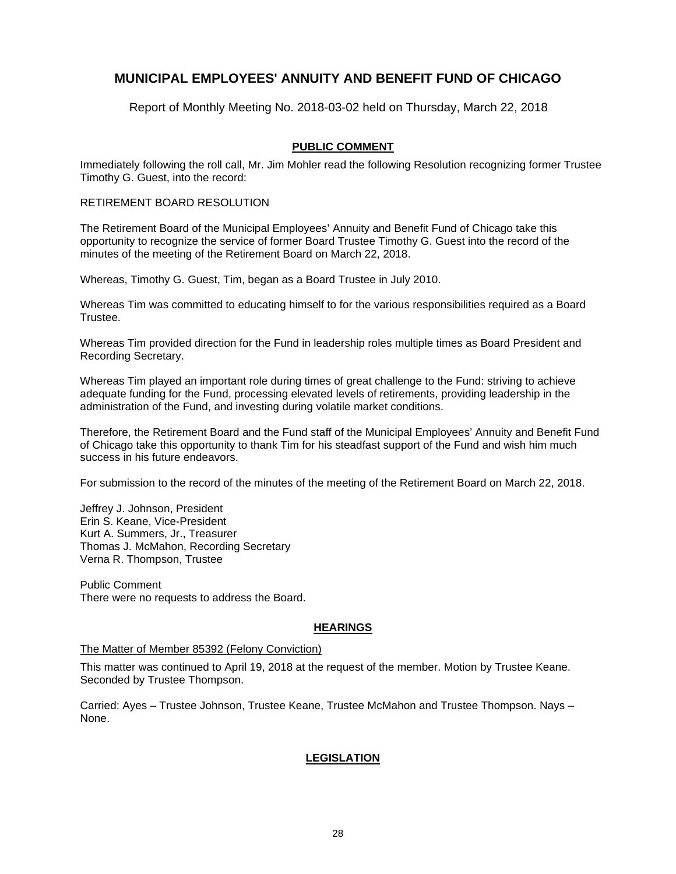Report of Monthly Meeting No. 2018-03-02 held on Thursday, March 22, 2018

## **PUBLIC COMMENT**

Immediately following the roll call, Mr. Jim Mohler read the following Resolution recognizing former Trustee Timothy G. Guest, into the record:

#### RETIREMENT BOARD RESOLUTION

The Retirement Board of the Municipal Employees' Annuity and Benefit Fund of Chicago take this opportunity to recognize the service of former Board Trustee Timothy G. Guest into the record of the minutes of the meeting of the Retirement Board on March 22, 2018.

Whereas, Timothy G. Guest, Tim, began as a Board Trustee in July 2010.

Whereas Tim was committed to educating himself to for the various responsibilities required as a Board Trustee.

Whereas Tim provided direction for the Fund in leadership roles multiple times as Board President and Recording Secretary.

Whereas Tim played an important role during times of great challenge to the Fund: striving to achieve adequate funding for the Fund, processing elevated levels of retirements, providing leadership in the administration of the Fund, and investing during volatile market conditions.

Therefore, the Retirement Board and the Fund staff of the Municipal Employees' Annuity and Benefit Fund of Chicago take this opportunity to thank Tim for his steadfast support of the Fund and wish him much success in his future endeavors.

For submission to the record of the minutes of the meeting of the Retirement Board on March 22, 2018.

Jeffrey J. Johnson, President Erin S. Keane, Vice-President Kurt A. Summers, Jr., Treasurer Thomas J. McMahon, Recording Secretary Verna R. Thompson, Trustee

Public Comment There were no requests to address the Board.

## **HEARINGS**

#### The Matter of Member 85392 (Felony Conviction)

This matter was continued to April 19, 2018 at the request of the member. Motion by Trustee Keane. Seconded by Trustee Thompson.

Carried: Ayes – Trustee Johnson, Trustee Keane, Trustee McMahon and Trustee Thompson. Nays – None.

## **LEGISLATION**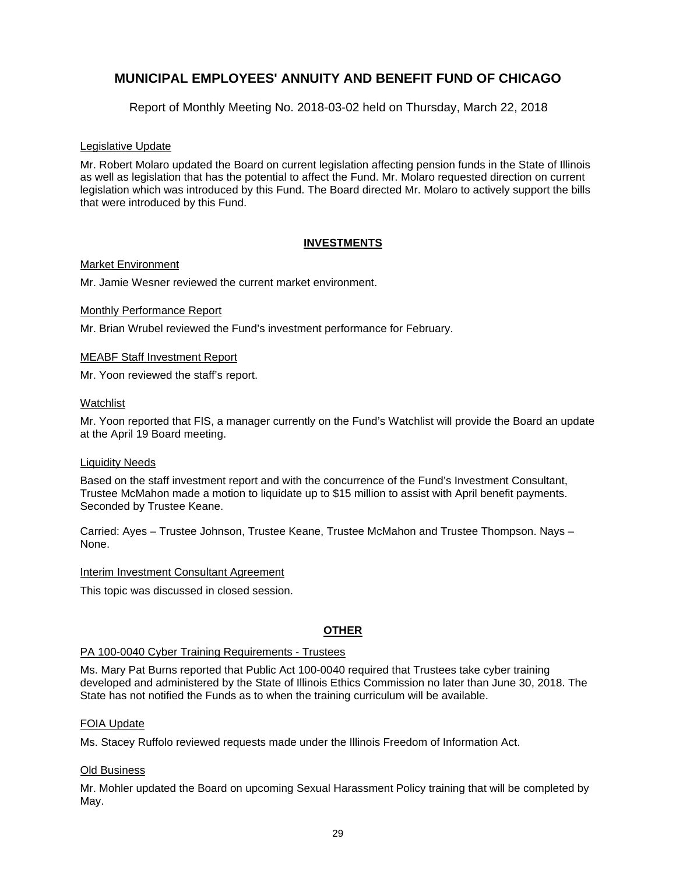Report of Monthly Meeting No. 2018-03-02 held on Thursday, March 22, 2018

#### Legislative Update

Mr. Robert Molaro updated the Board on current legislation affecting pension funds in the State of Illinois as well as legislation that has the potential to affect the Fund. Mr. Molaro requested direction on current legislation which was introduced by this Fund. The Board directed Mr. Molaro to actively support the bills that were introduced by this Fund.

## **INVESTMENTS**

#### Market Environment

Mr. Jamie Wesner reviewed the current market environment.

#### Monthly Performance Report

Mr. Brian Wrubel reviewed the Fund's investment performance for February.

#### MEABF Staff Investment Report

Mr. Yoon reviewed the staff's report.

#### Watchlist

Mr. Yoon reported that FIS, a manager currently on the Fund's Watchlist will provide the Board an update at the April 19 Board meeting.

#### Liquidity Needs

Based on the staff investment report and with the concurrence of the Fund's Investment Consultant, Trustee McMahon made a motion to liquidate up to \$15 million to assist with April benefit payments. Seconded by Trustee Keane.

Carried: Ayes – Trustee Johnson, Trustee Keane, Trustee McMahon and Trustee Thompson. Nays – None.

#### Interim Investment Consultant Agreement

This topic was discussed in closed session.

## **OTHER**

#### PA 100-0040 Cyber Training Requirements - Trustees

Ms. Mary Pat Burns reported that Public Act 100-0040 required that Trustees take cyber training developed and administered by the State of Illinois Ethics Commission no later than June 30, 2018. The State has not notified the Funds as to when the training curriculum will be available.

#### FOIA Update

Ms. Stacey Ruffolo reviewed requests made under the Illinois Freedom of Information Act.

#### **Old Business**

Mr. Mohler updated the Board on upcoming Sexual Harassment Policy training that will be completed by May.